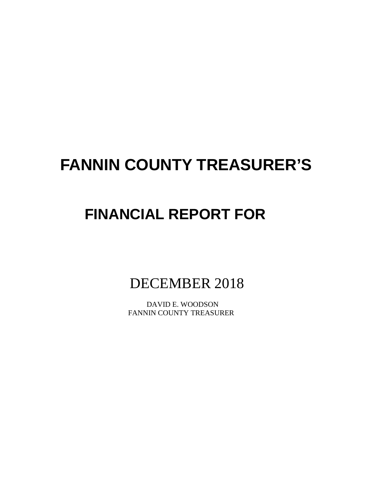# **FANNIN COUNTY TREASURER'S**

# **FINANCIAL REPORT FOR**

DECEMBER 2018

 DAVID E. WOODSON FANNIN COUNTY TREASURER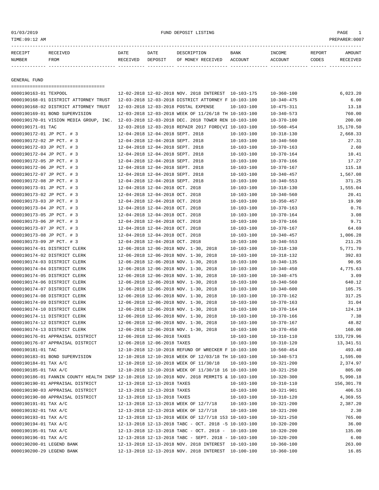01/03/2019 FUND DEPOSIT LISTING PAGE 1

| <b>PFCFTDT</b> |      | DATE          | DATE    |                                      | <b>BANK</b> | INCOME              | REPORT |  |
|----------------|------|---------------|---------|--------------------------------------|-------------|---------------------|--------|--|
| NUMBER         | FROM | <b>ELTVEL</b> | דדפ∩סקר | <b>TVEE</b><br>MONTU<br>∩ਜਾ<br>וסמסם | COUNT       | $\triangle$ CCOLINT | CODFS  |  |

------------- ------------------------- ---------- ---------- ------------------- -------------- -------------- ------ ------------

GENERAL FUND

| ====================================                                                                                             |                                  |                                  |                                                         |                  |                  |            |
|----------------------------------------------------------------------------------------------------------------------------------|----------------------------------|----------------------------------|---------------------------------------------------------|------------------|------------------|------------|
| 0000190163-01 TEXPOOL                                                                                                            |                                  |                                  | 12-02-2018 12-02-2018 NOV. 2018 INTEREST 10-103-175     |                  | $10 - 360 - 100$ | 6,023.20   |
| 0000190168-01 DISTRICT ATTORNEY TRUST                                                                                            |                                  |                                  | 12-03-2018 12-03-2018 DISTRICT ATTORNEY F 10-103-100    |                  | $10 - 340 - 475$ | 6.00       |
| 0000190168-02 DISTRICT ATTORNEY TRUST                                                                                            |                                  |                                  | 12-03-2018 12-03-2018 POSTAL EXPENSE                    | $10 - 103 - 100$ | $10 - 475 - 311$ | 13.18      |
| 0000190169-01 BOND SUPERVISION                                                                                                   |                                  |                                  | 12-03-2018 12-03-2018 WEEK OF 11/26/18 TH 10-103-100    |                  | $10 - 340 - 573$ | 760.00     |
| 0000190170-01 VISION MEDIA GROUP, INC.                                                                                           |                                  |                                  | 12-03-2018 12-03-2018 DEC. 2018 TOWER REN 10-103-100    |                  | $10 - 370 - 100$ | 200.00     |
| 0000190171-01 TAC                                                                                                                |                                  |                                  | 12-03-2018 12-03-2018 REPAIR 2017 FORD(VI 10-103-100    |                  | $10 - 560 - 454$ | 15,170.50  |
| 0000190172-01 JP PCT. # 3                                                                                                        |                                  | 12-04-2018 12-04-2018 SEPT. 2018 |                                                         | 10-103-100       | $10 - 318 - 130$ | 2,668.33   |
| 0000190172-02 JP PCT. # 3                                                                                                        | 12-04-2018 12-04-2018 SEPT. 2018 |                                  |                                                         | $10 - 103 - 100$ | $10 - 340 - 560$ | 27.31      |
| 0000190172-03 JP PCT. # 3                                                                                                        | 12-04-2018 12-04-2018 SEPT. 2018 |                                  |                                                         | $10 - 103 - 100$ | $10 - 370 - 163$ | 2.60       |
| 0000190172-04 JP PCT. # 3                                                                                                        | 12-04-2018 12-04-2018 SEPT. 2018 |                                  |                                                         | $10 - 103 - 100$ | $10 - 370 - 164$ | 10.41      |
| 0000190172-05 JP PCT. # 3                                                                                                        | 12-04-2018 12-04-2018 SEPT. 2018 |                                  |                                                         | $10 - 103 - 100$ | $10 - 370 - 166$ | 17.27      |
| 0000190172-06 JP PCT. # 3                                                                                                        | 12-04-2018 12-04-2018 SEPT. 2018 |                                  |                                                         | $10 - 103 - 100$ | $10 - 370 - 167$ | 115.18     |
| 0000190172-07 JP PCT. # 3                                                                                                        | 12-04-2018 12-04-2018 SEPT. 2018 |                                  |                                                         | $10 - 103 - 100$ | $10 - 340 - 457$ | 1,567.08   |
| 0000190172-08 JP PCT. # 3                                                                                                        | 12-04-2018 12-04-2018 SEPT. 2018 |                                  |                                                         | $10 - 103 - 100$ | $10 - 340 - 553$ | 371.25     |
| 0000190173-01 JP PCT. # 3                                                                                                        | 12-04-2018 12-04-2018 OCT. 2018  |                                  |                                                         | $10 - 103 - 100$ | $10 - 318 - 130$ | 1,555.04   |
| 0000190173-02 JP PCT. # 3                                                                                                        | 12-04-2018 12-04-2018 OCT. 2018  |                                  |                                                         | $10 - 103 - 100$ | $10 - 340 - 560$ | 20.41      |
| 0000190173-03 JP PCT. # 3                                                                                                        | 12-04-2018 12-04-2018 OCT. 2018  |                                  |                                                         | 10-103-100       | $10 - 350 - 457$ | 19.90      |
| 0000190173-04 JP PCT. # 3                                                                                                        | 12-04-2018 12-04-2018 OCT. 2018  |                                  |                                                         | $10 - 103 - 100$ | $10 - 370 - 163$ | 0.76       |
| 0000190173-05 JP PCT. # 3                                                                                                        | 12-04-2018 12-04-2018 OCT. 2018  |                                  |                                                         | $10 - 103 - 100$ | $10 - 370 - 164$ | 3.08       |
| 0000190173-06 JP PCT. # 3                                                                                                        | 12-04-2018 12-04-2018 OCT. 2018  |                                  |                                                         | $10 - 103 - 100$ | $10 - 370 - 166$ | 9.71       |
| 0000190173-07 JP PCT. # 3                                                                                                        | 12-04-2018 12-04-2018 OCT. 2018  |                                  |                                                         | $10 - 103 - 100$ | $10 - 370 - 167$ | 64.69      |
| 0000190173-08 JP PCT. # 3                                                                                                        | 12-04-2018 12-04-2018 OCT. 2018  |                                  |                                                         | $10 - 103 - 100$ | $10 - 340 - 457$ | 1,006.28   |
| 0000190173-09 JP PCT. # 3                                                                                                        | 12-04-2018 12-04-2018 OCT. 2018  |                                  |                                                         | $10 - 103 - 100$ | $10 - 340 - 553$ | 211.25     |
| 0000190174-01 DISTRICT CLERK                                                                                                     |                                  |                                  | 12-06-2018 12-06-2018 NOV. 1-30, 2018                   | $10 - 103 - 100$ | $10 - 318 - 130$ | 5,771.70   |
| 0000190174-02 DISTRICT CLERK                                                                                                     |                                  |                                  | 12-06-2018 12-06-2018 NOV. 1-30, 2018                   | $10 - 103 - 100$ | $10 - 318 - 132$ | 392.83     |
| 0000190174-03 DISTRICT CLERK                                                                                                     |                                  |                                  | 12-06-2018 12-06-2018 NOV. 1-30, 2018                   | $10 - 103 - 100$ | $10 - 340 - 135$ | 90.95      |
| 0000190174-04 DISTRICT CLERK                                                                                                     |                                  |                                  | 12-06-2018 12-06-2018 NOV. 1-30, 2018                   | $10 - 103 - 100$ | $10 - 340 - 450$ | 4,775.63   |
| 0000190174-05 DISTRICT CLERK                                                                                                     |                                  |                                  | 12-06-2018 12-06-2018 NOV. 1-30, 2018                   | $10 - 103 - 100$ | $10 - 340 - 475$ | 3.09       |
| 0000190174-06 DISTRICT CLERK                                                                                                     |                                  |                                  | 12-06-2018 12-06-2018 NOV. 1-30, 2018                   | $10 - 103 - 100$ | $10 - 340 - 560$ | 640.12     |
| 0000190174-07 DISTRICT CLERK                                                                                                     |                                  |                                  | 12-06-2018 12-06-2018 NOV. 1-30, 2018                   | $10 - 103 - 100$ | $10 - 340 - 600$ | 105.75     |
| 0000190174-08 DISTRICT CLERK                                                                                                     |                                  |                                  | 12-06-2018 12-06-2018 NOV. 1-30, 2018                   | $10 - 103 - 100$ | $10 - 370 - 162$ | 317.25     |
| 0000190174-09 DISTRICT CLERK                                                                                                     |                                  |                                  | 12-06-2018 12-06-2018 NOV. 1-30, 2018                   | $10 - 103 - 100$ | $10 - 370 - 163$ | 31.04      |
| 0000190174-10 DISTRICT CLERK                                                                                                     |                                  |                                  | 12-06-2018 12-06-2018 NOV. 1-30, 2018                   | $10 - 103 - 100$ | $10 - 370 - 164$ | 124.19     |
| 0000190174-11 DISTRICT CLERK                                                                                                     |                                  |                                  | 12-06-2018 12-06-2018 NOV. 1-30, 2018                   | $10 - 103 - 100$ | $10 - 370 - 166$ | 7.38       |
| 0000190174-12 DISTRICT CLERK                                                                                                     |                                  |                                  | 12-06-2018 12-06-2018 NOV. 1-30, 2018                   | $10 - 103 - 100$ | $10 - 370 - 167$ | 48.82      |
| 0000190174-13 DISTRICT CLERK                                                                                                     |                                  |                                  | 12-06-2018 12-06-2018 NOV. 1-30, 2018                   | $10 - 103 - 100$ | $10 - 370 - 450$ | 160.00     |
| 0000190176-01 APPRAISAL DISTRICT                                                                                                 | 12-06-2018 12-06-2018 TAXES      |                                  |                                                         | $10 - 103 - 100$ | $10 - 310 - 110$ | 133,729.96 |
| 0000190176-07 APPRAISAL DISTRICT                                                                                                 | 12-06-2018 12-06-2018 TAXES      |                                  |                                                         | $10 - 103 - 100$ | $10 - 310 - 120$ | 13,341.51  |
| 0000190181-01 TAC                                                                                                                |                                  |                                  | 12-10-2018 12-10-2018 REFUND OF WRECKER F 10-103-100    |                  | $10 - 560 - 454$ | 493.40     |
| 0000190183-01 BOND SUPERVISION                                                                                                   |                                  |                                  | 12-10-2018 12-10-2018 WEEK OF 12/03/18 TH 10-103-100    |                  | $10 - 340 - 573$ | 1,595.00   |
| 0000190184-01 TAX A/C                                                                                                            |                                  |                                  | 12-10-2018 12-10-2018 WEEK OF 11/30/18                  | $10 - 103 - 100$ | $10 - 321 - 200$ | 2,374.97   |
| 0000190185-01 TAX A/C                                                                                                            |                                  |                                  |                                                         |                  |                  |            |
|                                                                                                                                  |                                  |                                  | 12-10-2018 12-10-2018 WEEK OF 11/30/18 16 10-103-100    |                  | $10 - 321 - 250$ | 805.00     |
| 0000190186-01 FANNIN COUNTY HEALTH INSP 12-10-2018 12-10-2018 NOV. 2018 PERMITS & 10-103-100<br>0000190190-01 APPRAISAL DISTRICT |                                  |                                  |                                                         |                  | $10 - 320 - 300$ | 5,990.18   |
|                                                                                                                                  | 12-13-2018 12-13-2018 TAXES      | 12-13-2018 12-13-2018 TAXES      |                                                         | $10 - 103 - 100$ | $10 - 310 - 110$ | 156,301.78 |
| 0000190190-03 APPRAISAL DISTRICT                                                                                                 | 12-13-2018 12-13-2018 TAXES      |                                  |                                                         | $10 - 103 - 100$ | $10 - 321 - 901$ | 406.53     |
| 0000190190-08 APPRAISAL DISTRICT                                                                                                 |                                  |                                  |                                                         | 10-103-100       | $10 - 310 - 120$ | 4,369.55   |
| 0000190191-01 TAX A/C                                                                                                            |                                  |                                  | 12-13-2018 12-13-2018 WEEK OF 12/7/18                   | $10 - 103 - 100$ | $10 - 321 - 200$ | 2,387.20   |
| 0000190192-01 TAX A/C                                                                                                            |                                  |                                  | 12-13-2018 12-13-2018 WEEK OF 12/7/18                   | $10 - 103 - 100$ | $10 - 321 - 200$ | 2.30       |
| 0000190193-01 TAX A/C                                                                                                            |                                  |                                  | 12-13-2018 12-13-2018 WEEK OF 12/7/18 153 10-103-100    |                  | $10 - 321 - 250$ | 765.00     |
| 0000190194-01 TAX A/C                                                                                                            |                                  |                                  | 12-13-2018 12-13-2018 TABC - OCT. 2018 -5 10-103-100    |                  | $10 - 320 - 200$ | 36.00      |
| 0000190195-01 TAX A/C                                                                                                            |                                  |                                  | $12-13-2018$ $12-13-2018$ TABC - OCT. 2018 - 10-103-100 |                  | $10 - 320 - 200$ | 135.00     |
| 0000190196-01 TAX A/C                                                                                                            |                                  |                                  | 12-13-2018 12-13-2018 TABC - SEPT. 2018 - 10-103-100    |                  | $10 - 320 - 200$ | 6.00       |
| 0000190200-01 LEGEND BANK                                                                                                        |                                  |                                  | 12-13-2018 12-13-2018 NOV. 2018 INTEREST 10-103-100     |                  | $10 - 360 - 100$ | 263.00     |
| 0000190200-29 LEGEND BANK                                                                                                        |                                  |                                  | 12-13-2018 12-13-2018 NOV. 2018 INTEREST 10-100-100     |                  | $10 - 360 - 100$ | 16.85      |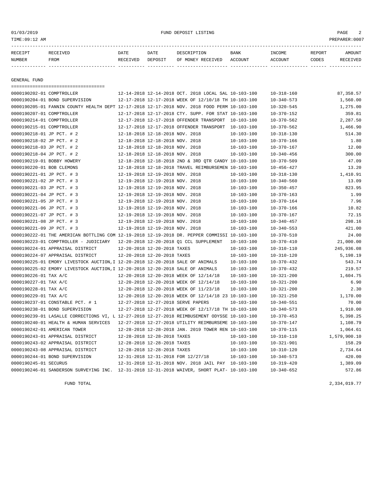01/03/2019 FUND DEPOSIT LISTING PAGE 2

| RECEIPT       | <b>RECEIVED</b> | DATE     | DATE    | DESCRIPTION       | <b>BANK</b> | <b>TNCOME</b> | REPORT | AMOUNT          |
|---------------|-----------------|----------|---------|-------------------|-------------|---------------|--------|-----------------|
| <b>NUMBER</b> | <b>FROM</b>     | RECEIVED | DEPOSIT | OF MONEY RECEIVED | ACCOUNT     | ACCOUNT       | CODES  | <b>RECEIVED</b> |
|               |                 |          |         |                   |             |               |        |                 |

GENERAL FUND

=================================== 0000190202-01 COMPTROLLER 12-14-2018 12-14-2018 OCT. 2018 LOCAL SAL 10-103-100 10-318-160 87,358.57 0000190204-01 BOND SUPERVISION 12-17-2018 12-17-2018 WEEK OF 12/10/18 TH 10-103-100 10-340-573 1,560.00 0000190205-01 FANNIN COUNTY HEALTH DEPT 12-17-2018 12-17-2018 NOV. 2018 FOOD PERM 10-103-100 10-320-545 1,275.00 0000190207-01 COMPTROLLER 12-17-2018 12-17-2018 CTY. SUPP. FOR STAT 10-103-100 10-370-152 359.81 0000190214-01 COMPTROLLER 12-17-2018 12-17-2018 OFFENDER TRANSPORT 10-103-100 10-370-562 2,287.50 0000190215-01 COMPTROLLER 12-17-2018 12-17-2018 OFFENDER TRANSPORT 10-103-100 10-370-562 1,466.90 0000190218-01 JP PCT. # 2 12-18-2018 12-18-2018 NOV. 2018 10-103-100 10-318-130 514.30 0000190218-02 JP PCT. # 2 12-18-2018 12-18-2018 NOV. 2018 10-103-100 10-370-166 1.80 0000190218-03 JP PCT. # 2 12-18-2018 12-18-2018 NOV. 2018 10-103-100 10-370-167 12.00 0000190218-04 JP PCT. # 2 12-18-2018 12-18-2018 NOV. 2018 10-103-100 10-340-456 300.00 0000190219-01 BOBBY HOWERY 12-18-2018 12-18-2018 2ND & 3RD QTR CANDY 10-103-100 10-370-509 47.09 0000190220-01 BOB CLEMONS 12-18-2018 12-18-2018 TRAVEL REIMBURSEMEN 10-103-100 10-456-427 13.20 0000190221-01 JP PCT. # 3 12-19-2018 12-19-2018 NOV. 2018 10-103-100 10-318-130 1,410.91 0000190221-02 JP PCT. # 3 12-19-2018 12-19-2018 NOV. 2018 10-103-100 10-340-560 13.09 0000190221-03 JP PCT. # 3 12-19-2018 12-19-2018 NOV. 2018 10-103-100 10-350-457 823.95 0000190221-04 JP PCT. # 3 12-19-2018 12-19-2018 NOV. 2018 10-103-100 10-370-163 1.99 0000190221-05 JP PCT. # 3 12-19-2018 12-19-2018 NOV. 2018 10-103-100 10-370-164 7.96 0000190221-06 JP PCT. # 3 12-19-2018 12-19-2018 NOV. 2018 10-103-100 10-370-166 10.82 0000190221-07 JP PCT. # 3 12-19-2018 12-19-2018 NOV. 2018 10-103-100 10-370-167 72.15 0000190221-08 JP PCT. # 3 12-19-2018 12-19-2018 NOV. 2018 10-103-100 10-340-457 298.16 0000190221-09 JP PCT. # 3 12-19-2018 12-19-2018 NOV. 2018 10-103-100 10-340-553 421.00 0000190222-01 THE AMERICAN BOTTLING COM 12-19-2018 12-19-2018 DR. PEPPER COMMISSI 10-103-100 10-370-510 24.00 0000190223-01 COMPTROLLER - JUDICIARY 12-20-2018 12-20-2018 O1 CCL SUPPLEMENT 10-103-100 10-370-410 0000190224-01 APPRAISAL DISTRICT 12-20-2018 12-20-2018 TAXES 10-103-100 10-310-110 245,936.08 0000190224-07 APPRAISAL DISTRICT 12-20-2018 12-20-2018 TAXES 10-103-100 10-310-120 5,198.19 0000190225-01 EMORY LIVESTOCK AUCTION,I 12-20-2018 12-20-2018 SALE OF ANIMALS 10-103-100 10-370-432 543.74 0000190225-02 EMORY LIVESTOCK AUCTION,I 12-20-2018 12-20-2018 SALE OF ANIMALS 10-103-100 10-370-432 219.57 0000190226-01 TAX A/C 12-20-2018 12-20-2018 WEEK OF 12/14/18 10-103-100 10-321-200 1,604.75 0000190227-01 TAX A/C 12-20-2018 12-20-2018 WEEK OF 12/14/18 10-103-100 10-321-200 6.90 0000190228-01 TAX A/C 12-20-2018 12-20-2018 WEEK OF 11/23/18 10-103-100 10-321-200 2.30 0000190229-01 TAX A/C 12-20-2018 12-20-2018 WEEK OF 12/14/18 23 10-103-100 10-321-250 1,170.00 0000190237-01 CONSTABLE PCT. # 1 12-27-2018 12-27-2018 SERVE PAPERS 10-103-100 10-340-551 70.00 0000190238-01 BOND SUPERVISION 12-27-2018 12-27-2018 WEEK OF 12/17/18 TH 10-103-100 10-340-573 1,910.00 0000190239-01 LASALLE CORRECTIONS VI, L 12-27-2018 12-27-2018 REIMBUSEMENT ODYSSE 10-103-100 10-370-453 5,398.25 0000190240-01 HEALTH & HUMAN SERVICES 12-27-2018 12-27-2018 UTILITY REIMBURSEME 10-103-100 10-370-147 1,108.79 0000190242-01 AMERICAN TOWER 12-28-2018 12-28-2018 JAN. 2019 TOWER REN 10-103-100 10-370-115 1,064.61 0000190243-01 APPRAISAL DISTRICT 12-28-2018 12-28-2018 TAXES 10-103-100 10-310-110 1,579,900.10 0000190243-02 APPRAISAL DISTRICT 12-28-2018 12-28-2018 TAXES 10-103-100 10-321-901 158.29 0000190243-08 APPRAISAL DISTRICT  $12-28-2018$  12-28-2018 TAXES  $10-103-100$   $10-310-120$   $10-310-5$ <br>0000190244-01 BOND SUPERVISION  $12-31-2018$  12-31-2018 FOR 12/27/18  $10-103-100$   $10-340-573$   $10-340-573$   $420.00$ 0000190244-01 BOND SUPERVISION 12-31-2018 12-31-2018 FOR 12/27/18 10-103-100 10-340-573 420.00 0000190245-01 SECURUS 12-31-2018 12-31-2018 NOV. 2018 JAIL PAY 10-103-100 10-319-420 1,389.09 0000190246-01 SANDERSON SURVEYING INC. 12-31-2018 12-31-2018 WAIVER, SHORT PLAT- 10-103-100 10-340-652 572.86

FUND TOTAL  $2,334,019.77$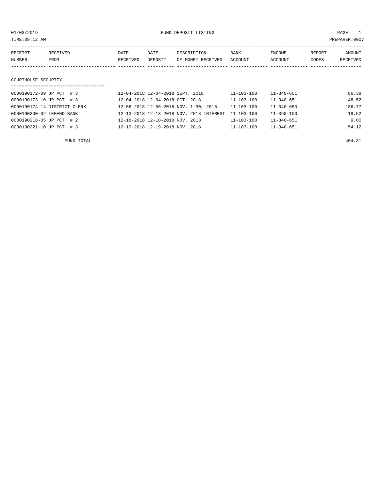01/03/2019 FUND DEPOSIT LISTING PAGE 1

| RECEIPT             | RECEIVED | DATE     | DATE    | DESCRIPTION       | <b>BANK</b> | INCOME  | REPORT | AMOUNT   |  |
|---------------------|----------|----------|---------|-------------------|-------------|---------|--------|----------|--|
| NUMBER              | FROM     | RECEIVED | DEPOSIT | OF MONEY RECEIVED | ACCOUNT     | ACCOUNT | CODES  | RECEIVED |  |
|                     |          |          |         |                   |             |         |        |          |  |
|                     |          |          |         |                   |             |         |        |          |  |
| COURTHOUSE SECURITY |          |          |         |                   |             |         |        |          |  |
|                     |          |          |         |                   |             |         |        |          |  |

| 0000190172-09 JP PCT. # 3    | 12-04-2018 12-04-2018 SEPT. 2018         | 11-103-100       | 11-340-651       | 86.38  |
|------------------------------|------------------------------------------|------------------|------------------|--------|
| 0000190173-10 JP PCT. # 3    | 12-04-2018 12-04-2018 OCT. 2018          | $11 - 103 - 100$ | $11 - 340 - 651$ | 48.52  |
| 0000190174-14 DISTRICT CLERK | 12-06-2018 12-06-2018 NOV. 1-30, 2018    | $11 - 103 - 100$ | $11 - 340 - 650$ | 186.77 |
| 0000190200-02 LEGEND BANK    | 12-13-2018 12-13-2018 NOV. 2018 INTEREST | $11 - 103 - 100$ | $11 - 360 - 100$ | 19.52  |
| 0000190218-05 JP PCT. # 2    | 12-18-2018 12-18-2018 NOV. 2018          | $11 - 103 - 100$ | $11 - 340 - 651$ | 9.00   |
| 0000190221-10 JP PCT. # 3    | 12-19-2018 12-19-2018 NOV. 2018          | $11 - 103 - 100$ | $11 - 340 - 651$ | 54.12  |
|                              |                                          |                  |                  |        |

FUND TOTAL 404.31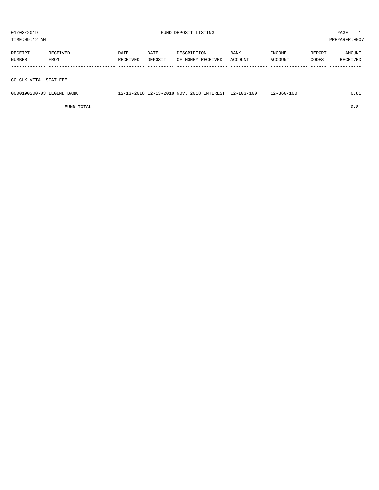PREPARER:0007

| 01/03/2019<br>TIME:09:12 AM |                  |                  |                 | FUND DEPOSIT LISTING             |                 |                   |                 |                    |
|-----------------------------|------------------|------------------|-----------------|----------------------------------|-----------------|-------------------|-----------------|--------------------|
| RECEIPT<br>NUMBER           | RECEIVED<br>FROM | DATE<br>RECEIVED | DATE<br>DEPOSIT | DESCRIPTION<br>OF MONEY RECEIVED | BANK<br>ACCOUNT | INCOME<br>ACCOUNT | REPORT<br>CODES | AMOUNT<br>RECEIVED |
| CO.CLK.VITAL STAT.FEE       |                  |                  |                 |                                  |                 |                   |                 |                    |
|                             |                  |                  |                 |                                  |                 |                   |                 |                    |

| 0000190200-03<br>LEGEND BANK | 12-13-2018 12-13-2018 NOV. 2018 INTEREST 12-103-100 | $2 - 360 - 100$ | 81. ا |
|------------------------------|-----------------------------------------------------|-----------------|-------|

FUND TOTAL  $0.81$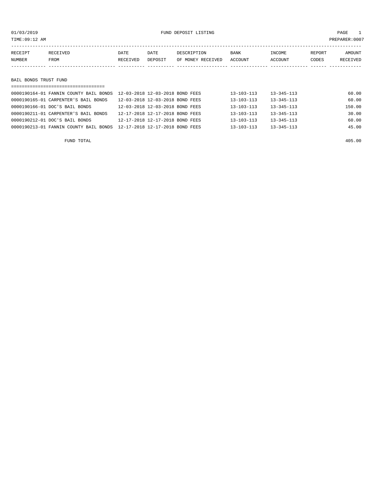| TIME:09:12 AM     |                       |                  |                 |                                  |                 |                   |                 | PREPARER: 0007     |  |
|-------------------|-----------------------|------------------|-----------------|----------------------------------|-----------------|-------------------|-----------------|--------------------|--|
| RECEIPT<br>NUMBER | RECEIVED<br>FROM      | DATE<br>RECEIVED | DATE<br>DEPOSIT | DESCRIPTION<br>OF MONEY RECEIVED | BANK<br>ACCOUNT | INCOME<br>ACCOUNT | REPORT<br>CODES | AMOUNT<br>RECEIVED |  |
|                   |                       |                  |                 |                                  |                 |                   |                 |                    |  |
|                   | BAIL BONDS TRUST FUND |                  |                 |                                  |                 |                   |                 |                    |  |

| ==================================     |                                 |                  |                  |        |
|----------------------------------------|---------------------------------|------------------|------------------|--------|
| 0000190164-01 FANNIN COUNTY BAIL BONDS | 12-03-2018 12-03-2018 BOND FEES | $13 - 103 - 113$ | $13 - 345 - 113$ | 60.00  |
| 0000190165-01 CARPENTER'S BAIL BONDS   | 12-03-2018 12-03-2018 BOND FEES | $13 - 103 - 113$ | $13 - 345 - 113$ | 60.00  |
| 0000190166-01 DOC'S BAIL BONDS         | 12-03-2018 12-03-2018 BOND FEES | $13 - 103 - 113$ | $13 - 345 - 113$ | 150.00 |
| 0000190211-01 CARPENTER'S BAIL BONDS   | 12-17-2018 12-17-2018 BOND FEES | $13 - 103 - 113$ | $13 - 345 - 113$ | 30.00  |
| 0000190212-01 DOC'S BAIL BONDS         | 12-17-2018 12-17-2018 BOND FEES | $13 - 103 - 113$ | $13 - 345 - 113$ | 60.00  |
| 0000190213-01 FANNIN COUNTY BAIL BONDS | 12-17-2018 12-17-2018 BOND FEES | $13 - 103 - 113$ | $13 - 345 - 113$ | 45.00  |
|                                        |                                 |                  |                  |        |

FUND TOTAL 405.00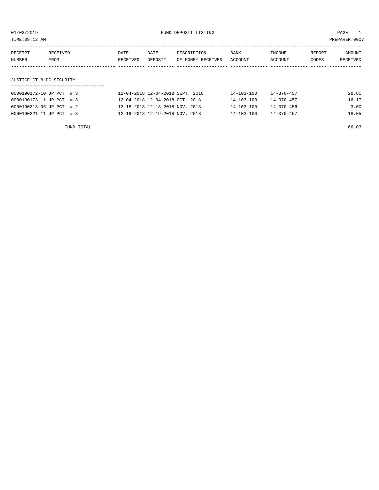TIME:09:12 AM PREPARER:0007

| RECEIPT<br>NUMBER | RECEIVED<br>FROM         | DATE<br>RECEIVED | DATE<br>DEPOSIT | DESCRIPTION<br>OF MONEY RECEIVED | BANK<br>ACCOUNT | INCOME<br>ACCOUNT | REPORT<br>CODES | AMOUNT<br>RECEIVED |  |
|-------------------|--------------------------|------------------|-----------------|----------------------------------|-----------------|-------------------|-----------------|--------------------|--|
|                   |                          |                  |                 |                                  |                 |                   |                 |                    |  |
|                   |                          |                  |                 |                                  |                 |                   |                 |                    |  |
|                   | JUSTICE CT.BLDG.SECURITY |                  |                 |                                  |                 |                   |                 |                    |  |
|                   |                          |                  |                 |                                  |                 |                   |                 |                    |  |

| 0000190172-10 JP PCT. # 3 | 12-04-2018 12-04-2018 SEPT. 2018 | $14 - 103 - 100$ | $14 - 370 - 457$ | 28.81 |
|---------------------------|----------------------------------|------------------|------------------|-------|
| 0000190173-11 JP PCT. # 3 | 12-04-2018 12-04-2018 OCT, 2018  | $14 - 103 - 100$ | $14 - 370 - 457$ | 16.17 |
| 0000190218-06 JP PCT. # 2 | 12-18-2018 12-18-2018 NOV. 2018  | $14 - 103 - 100$ | 14-370-456       | 3.00  |
| 0000190221-11 JP PCT. # 3 | 12-19-2018 12-19-2018 NOV. 2018  | $14 - 103 - 100$ | $14 - 370 - 457$ | 18.05 |
|                           |                                  |                  |                  |       |

FUND TOTAL 66.03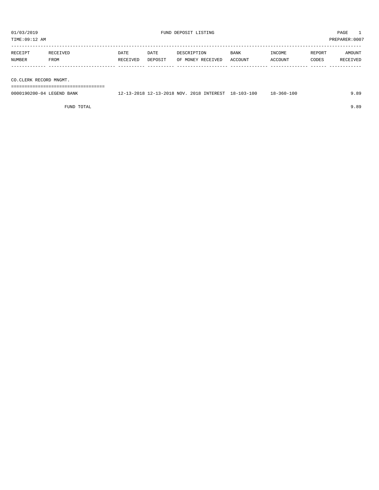| TIME:09:12 AM                         |                  |                 |                                          |                        |                   |                 | PREPARER:0007      |
|---------------------------------------|------------------|-----------------|------------------------------------------|------------------------|-------------------|-----------------|--------------------|
| RECEIPT<br>RECEIVED<br>NUMBER<br>FROM | DATE<br>RECEIVED | DATE<br>DEPOSIT | DESCRIPTION<br>OF MONEY RECEIVED         | <b>BANK</b><br>ACCOUNT | INCOME<br>ACCOUNT | REPORT<br>CODES | AMOUNT<br>RECEIVED |
| CO.CLERK RECORD MNGMT.                |                  |                 |                                          |                        |                   |                 |                    |
| 0000190200-04 LEGEND BANK             |                  |                 | 12-13-2018 12-13-2018 NOV. 2018 INTEREST | 18-103-100             | $18 - 360 - 100$  |                 | 9.89               |

FUND TOTAL 9.89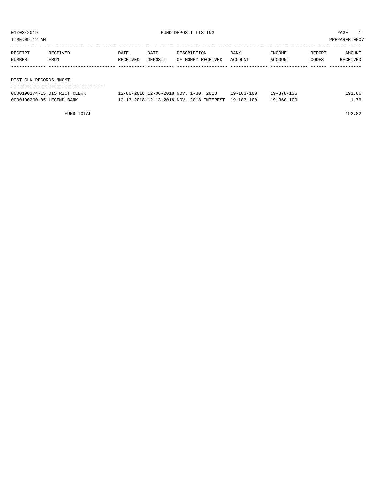| TIME:09:12 AM           |                  |                         |                 |                                  |                        |                   | PREPARER: 0007  |                    |
|-------------------------|------------------|-------------------------|-----------------|----------------------------------|------------------------|-------------------|-----------------|--------------------|
| RECEIPT<br>NUMBER       | RECEIVED<br>FROM | <b>DATE</b><br>RECEIVED | DATE<br>DEPOSIT | DESCRIPTION<br>OF MONEY RECEIVED | <b>BANK</b><br>ACCOUNT | INCOME<br>ACCOUNT | REPORT<br>CODES | AMOUNT<br>RECEIVED |
|                         |                  |                         |                 |                                  |                        |                   |                 |                    |
| DIST.CLK.RECORDS MNGMT. |                  |                         |                 |                                  |                        |                   |                 |                    |
|                         |                  |                         |                 |                                  |                        |                   |                 |                    |

| 0000190174-15 DISTRICT<br>CLERK         | 2018<br>$-30$<br>. 2-06-2018<br><b>NOV</b><br>$12 - 06 - 2018$ | q              | 36<br>$370 -$<br>` Q _ | 06<br>g. |
|-----------------------------------------|----------------------------------------------------------------|----------------|------------------------|----------|
| 0000190200-05<br>LEGEND.<br><b>BANK</b> | , INTEREST<br>201.R<br><b>NOV</b><br>$2 - 13 - 2018$<br>- 2018 | 00<br>19-103-1 | ⊥0 C<br>$9 - 360 - 7$  | 76       |

FUND TOTAL 192.82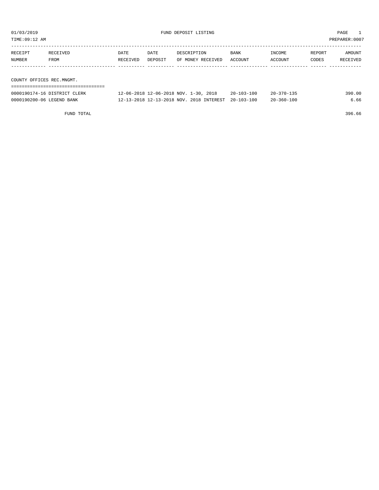| TIME:09:12 AM             | PREPARER:0007                |          |         |                                       |            |                  |        |          |
|---------------------------|------------------------------|----------|---------|---------------------------------------|------------|------------------|--------|----------|
|                           |                              |          |         |                                       |            |                  |        |          |
| RECEIPT                   | RECEIVED                     | DATE     | DATE    | DESCRIPTION                           | BANK       | INCOME           | REPORT | AMOUNT   |
| NUMBER                    | FROM                         | RECEIVED | DEPOSIT | OF MONEY RECEIVED                     | ACCOUNT    | ACCOUNT          | CODES  | RECEIVED |
|                           |                              |          |         |                                       |            |                  |        |          |
|                           |                              |          |         |                                       |            |                  |        |          |
| COUNTY OFFICES REC.MNGMT. |                              |          |         |                                       |            |                  |        |          |
|                           |                              |          |         |                                       |            |                  |        |          |
|                           | 0000190174-16 DISTRICT CLERK |          |         | 12-06-2018 12-06-2018 NOV. 1-30, 2018 | 20-103-100 | $20 - 370 - 135$ |        | 390.00   |

0000190200-06 LEGEND BANK 12-13-2018 12-13-2018 NOV. 2018 INTEREST 20-103-100 20-360-100 6.66

FUND TOTAL 396.66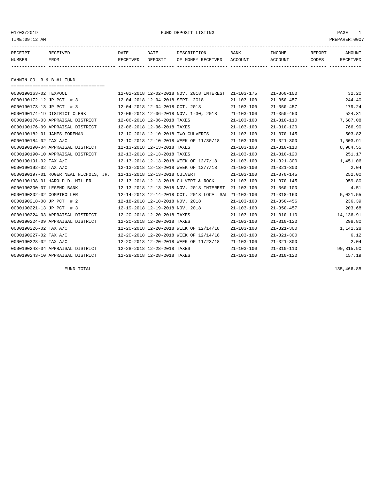01/03/2019 FUND DEPOSIT LISTING PAGE 1

| RECEIPT | RECEIVED | DATE     | DATE    | DESCRIPTION       | <b>BANK</b> | <b>INCOME</b> | REPORT | AMOUNT          |
|---------|----------|----------|---------|-------------------|-------------|---------------|--------|-----------------|
| NUMBER  | FROM     | RECEIVED | DEPOSIT | OF MONEY RECEIVED | ACCOUNT     | ACCOUNT       | CODES  | <b>RECEIVED</b> |
|         |          |          |         |                   |             |               |        |                 |

FANNIN CO. R & B #1 FUND

| ====================================  |                                                      |                  |                  |           |
|---------------------------------------|------------------------------------------------------|------------------|------------------|-----------|
| 0000190163-02 TEXPOOL                 | 12-02-2018 12-02-2018 NOV. 2018 INTEREST             | 21-103-175       | $21 - 360 - 100$ | 32.20     |
| 0000190172-12 JP PCT. # 3             | 12-04-2018 12-04-2018 SEPT. 2018                     | $21 - 103 - 100$ | $21 - 350 - 457$ | 244.40    |
| 0000190173-13 JP PCT. # 3             | 12-04-2018 12-04-2018 OCT. 2018                      | $21 - 103 - 100$ | $21 - 350 - 457$ | 179.24    |
| 0000190174-19 DISTRICT CLERK          | 12-06-2018 12-06-2018 NOV. 1-30, 2018                | $21 - 103 - 100$ | $21 - 350 - 450$ | 524.31    |
| 0000190176-03 APPRAISAL DISTRICT      | 12-06-2018 12-06-2018 TAXES                          | $21 - 103 - 100$ | $21 - 310 - 110$ | 7,687.08  |
| 0000190176-09 APPRAISAL DISTRICT      | 12-06-2018 12-06-2018 TAXES                          | $21 - 103 - 100$ | $21 - 310 - 120$ | 766.90    |
| 0000190182-01 JAMES FOREMAN           | 12-10-2018 12-10-2018 TWO CULVERTS                   | $21 - 103 - 100$ | $21 - 370 - 145$ | 503.82    |
| 0000190184-02 TAX A/C                 | 12-10-2018 12-10-2018 WEEK OF 11/30/18               | $21 - 103 - 100$ | $21 - 321 - 300$ | 1,603.91  |
| 0000190190-04 APPRAISAL DISTRICT      | 12-13-2018 12-13-2018 TAXES                          | $21 - 103 - 100$ | $21 - 310 - 110$ | 8,984.55  |
| 0000190190-10 APPRAISAL DISTRICT      | 12-13-2018 12-13-2018 TAXES                          | $21 - 103 - 100$ | $21 - 310 - 120$ | 251.17    |
| 0000190191-02 TAX A/C                 | 12-13-2018 12-13-2018 WEEK OF 12/7/18                | $21 - 103 - 100$ | $21 - 321 - 300$ | 1,451.06  |
| 0000190192-02 TAX A/C                 | 12-13-2018 12-13-2018 WEEK OF 12/7/18                | $21 - 103 - 100$ | $21 - 321 - 300$ | 2.04      |
| 0000190197-01 ROGER NEAL NICHOLS, JR. | 12-13-2018 12-13-2018 CULVERT                        | $21 - 103 - 100$ | $21 - 370 - 145$ | 252.00    |
| 0000190198-01 HAROLD D. MILLER        | 12-13-2018 12-13-2018 CULVERT & ROCK                 | $21 - 103 - 100$ | $21 - 370 - 145$ | 959.80    |
| 0000190200-07 LEGEND BANK             | 12-13-2018 12-13-2018 NOV. 2018 INTEREST             | $21 - 103 - 100$ | $21 - 360 - 100$ | 4.51      |
| 0000190202-02 COMPTROLLER             | 12-14-2018 12-14-2018 OCT. 2018 LOCAL SAL 21-103-100 |                  | $21 - 318 - 160$ | 5,021.55  |
| 0000190218-08 JP PCT. # 2             | 12-18-2018 12-18-2018 NOV. 2018                      | $21 - 103 - 100$ | $21 - 350 - 456$ | 236.39    |
| 0000190221-13 JP PCT. # 3             | 12-19-2018 12-19-2018 NOV. 2018                      | $21 - 103 - 100$ | $21 - 350 - 457$ | 203.68    |
| 0000190224-03 APPRAISAL DISTRICT      | 12-20-2018 12-20-2018 TAXES                          | $21 - 103 - 100$ | $21 - 310 - 110$ | 14,136.91 |
| 0000190224-09 APPRAISAL DISTRICT      | 12-20-2018 12-20-2018 TAXES                          | $21 - 103 - 100$ | $21 - 310 - 120$ | 298.80    |
| 0000190226-02 TAX A/C                 | 12-20-2018 12-20-2018 WEEK OF 12/14/18               | $21 - 103 - 100$ | $21 - 321 - 300$ | 1,141.28  |
| 0000190227-02 TAX A/C                 | 12-20-2018 12-20-2018 WEEK OF 12/14/18               | $21 - 103 - 100$ | $21 - 321 - 300$ | 6.12      |
| 0000190228-02 TAX A/C                 | 12-20-2018 12-20-2018 WEEK OF 11/23/18               | $21 - 103 - 100$ | $21 - 321 - 300$ | 2.04      |
| 0000190243-04 APPRAISAL DISTRICT      | 12-28-2018 12-28-2018 TAXES                          | $21 - 103 - 100$ | $21 - 310 - 110$ | 90,815.90 |
| 0000190243-10 APPRAISAL DISTRICT      | 12-28-2018 12-28-2018 TAXES                          | $21 - 103 - 100$ | $21 - 310 - 120$ | 157.19    |

FUND TOTAL 135,466.85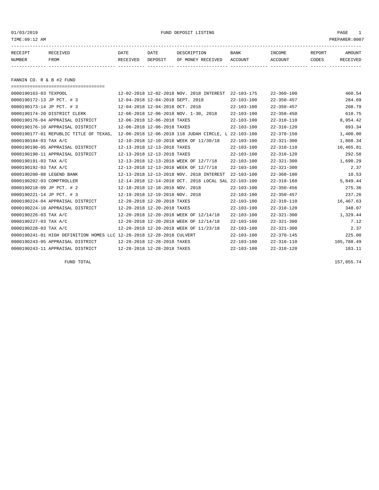### 01/03/2019 FUND DEPOSIT LISTING PAGE 1

| RECEIPT | RECEIVED | DATE            | DATE    | DESCRIPTION       | <b>BANK</b> | <b>INCOME</b> | REPORT | AMOUNT          |
|---------|----------|-----------------|---------|-------------------|-------------|---------------|--------|-----------------|
| NUMBER  | FROM     | <b>RECEIVED</b> | DEPOSIT | OF MONEY RECEIVED | ACCOUNT     | ACCOUNT       | CODES  | <b>RECEIVED</b> |
|         |          |                 |         |                   |             |               |        |                 |

FANNIN CO. R & B #2 FUND

| =====================================                                 |                                                      |                  |                  |            |
|-----------------------------------------------------------------------|------------------------------------------------------|------------------|------------------|------------|
| 0000190163-03 TEXPOOL                                                 | 12-02-2018 12-02-2018 NOV. 2018 INTEREST             | $22 - 103 - 175$ | $22 - 360 - 100$ | 460.54     |
| 0000190172-13 JP PCT. # 3                                             | 12-04-2018 12-04-2018 SEPT. 2018                     | $22 - 103 - 100$ | $22 - 350 - 457$ | 284.69     |
| 0000190173-14 JP PCT. # 3                                             | 12-04-2018 12-04-2018 OCT, 2018                      | $22 - 103 - 100$ | $22 - 350 - 457$ | 208.79     |
| 0000190174-20 DISTRICT CLERK                                          | 12-06-2018 12-06-2018 NOV. 1-30, 2018                | $22 - 103 - 100$ | $22 - 350 - 450$ | 610.75     |
| 0000190176-04 APPRAISAL DISTRICT                                      | 12-06-2018 12-06-2018 TAXES                          | $22 - 103 - 100$ | $22 - 310 - 110$ | 8,954.42   |
| 0000190176-10 APPRAISAL DISTRICT                                      | 12-06-2018 12-06-2018 TAXES                          | $22 - 103 - 100$ | $22 - 310 - 120$ | 893.34     |
| 0000190177-01 REPUBLIC TITLE OF TEXAS,                                | 12-06-2018 12-06-2018 118 JUDAH CIRCLE, L 22-103-100 |                  | $22 - 370 - 150$ | 1,400.00   |
| 0000190184-03 TAX A/C                                                 | 12-10-2018 12-10-2018 WEEK OF 11/30/18               | $22 - 103 - 100$ | $22 - 321 - 300$ | 1,868.34   |
| 0000190190-05 APPRAISAL DISTRICT                                      | 12-13-2018 12-13-2018 TAXES                          | $22 - 103 - 100$ | $22 - 310 - 110$ | 10,465.81  |
| 0000190190-11 APPRAISAL DISTRICT                                      | 12-13-2018 12-13-2018 TAXES                          | $22 - 103 - 100$ | $22 - 310 - 120$ | 292.58     |
| 0000190191-03 TAX A/C                                                 | 12-13-2018 12-13-2018 WEEK OF 12/7/18                | $22 - 103 - 100$ | $22 - 321 - 300$ | 1,690.29   |
| 0000190192-03 TAX A/C                                                 | 12-13-2018 12-13-2018 WEEK OF 12/7/18                | $22 - 103 - 100$ | $22 - 321 - 300$ | 2.37       |
| 0000190200-08 LEGEND BANK                                             | 12-13-2018 12-13-2018 NOV. 2018 INTEREST             | $22 - 103 - 100$ | $22 - 360 - 100$ | 10.53      |
| 0000190202-03 COMPTROLLER                                             | 12-14-2018 12-14-2018 OCT. 2018 LOCAL SAL 22-103-100 |                  | $22 - 318 - 160$ | 5,849.44   |
| 0000190218-09 JP PCT. # 2                                             | 12-18-2018 12-18-2018 NOV. 2018                      | $22 - 103 - 100$ | $22 - 350 - 456$ | 275.36     |
| 0000190221-14 JP PCT. # 3                                             | 12-19-2018 12-19-2018 NOV. 2018                      | $22 - 103 - 100$ | $22 - 350 - 457$ | 237.26     |
| 0000190224-04 APPRAISAL DISTRICT                                      | 12-20-2018 12-20-2018 TAXES                          | $22 - 103 - 100$ | $22 - 310 - 110$ | 16,467.63  |
| 0000190224-10 APPRAISAL DISTRICT                                      | 12-20-2018 12-20-2018 TAXES                          | $22 - 103 - 100$ | $22 - 310 - 120$ | 348.07     |
| 0000190226-03 TAX A/C                                                 | 12-20-2018 12-20-2018 WEEK OF 12/14/18               | $22 - 103 - 100$ | $22 - 321 - 300$ | 1,329.44   |
| 0000190227-03 TAX A/C                                                 | 12-20-2018 12-20-2018 WEEK OF 12/14/18               | $22 - 103 - 100$ | $22 - 321 - 300$ | 7.12       |
| 0000190228-03 TAX A/C                                                 | 12-20-2018 12-20-2018 WEEK OF 11/23/18               | $22 - 103 - 100$ | $22 - 321 - 300$ | 2.37       |
| 0000190241-01 HIGH DEFINITION HOMES LLC 12-28-2018 12-28-2018 CULVERT |                                                      | $22 - 103 - 100$ | $22 - 370 - 145$ | 225.00     |
| 0000190243-05 APPRAISAL DISTRICT                                      | 12-28-2018 12-28-2018 TAXES                          | $22 - 103 - 100$ | $22 - 310 - 110$ | 105,788.49 |
| 0000190243-11 APPRAISAL DISTRICT                                      | 12-28-2018 12-28-2018 TAXES                          | $22 - 103 - 100$ | $22 - 310 - 120$ | 183.11     |

FUND TOTAL 157,855.74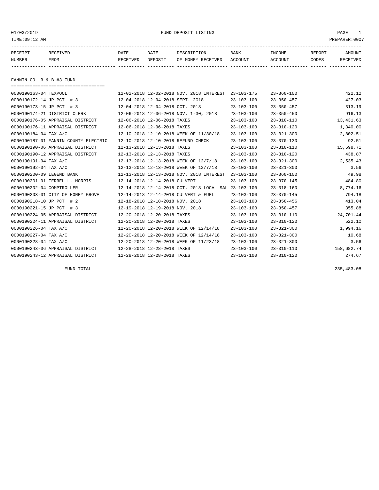#### 01/03/2019 FUND DEPOSIT LISTING PAGE 1

| RECEIPT | <b>RECEIVED</b> | DATE     | DATE    | DESCRIPTION          | <b>BANK</b>    | INCOME  | <b>REPORT</b> | AMOUNT          |
|---------|-----------------|----------|---------|----------------------|----------------|---------|---------------|-----------------|
| NUMBER  | FROM            | RECEIVED | DEPOSIT | RECEIVED<br>OF MONEY | <b>ACCOUNT</b> | ACCOUNT | CODES         | <b>RECEIVED</b> |
|         |                 |          |         |                      |                |         |               |                 |

FANNIN CO. R & B #3 FUND

| ===================================== |                                                      |                  |                  |            |
|---------------------------------------|------------------------------------------------------|------------------|------------------|------------|
| 0000190163-04 TEXPOOL                 | 12-02-2018 12-02-2018 NOV. 2018 INTEREST             | $23 - 103 - 175$ | $23 - 360 - 100$ | 422.12     |
| 0000190172-14 JP PCT. # 3             | 12-04-2018 12-04-2018 SEPT. 2018                     | $23 - 103 - 100$ | $23 - 350 - 457$ | 427.03     |
| 0000190173-15 JP PCT. # 3             | 12-04-2018 12-04-2018 OCT. 2018                      | $23 - 103 - 100$ | $23 - 350 - 457$ | 313.19     |
| 0000190174-21 DISTRICT CLERK          | 12-06-2018 12-06-2018 NOV. 1-30, 2018                | $23 - 103 - 100$ | $23 - 350 - 450$ | 916.13     |
| 0000190176-05 APPRAISAL DISTRICT      | 12-06-2018 12-06-2018 TAXES                          | $23 - 103 - 100$ | $23 - 310 - 110$ | 13, 431.63 |
| 0000190176-11 APPRAISAL DISTRICT      | 12-06-2018 12-06-2018 TAXES                          | $23 - 103 - 100$ | $23 - 310 - 120$ | 1,340.00   |
| 0000190184-04 TAX A/C                 | 12-10-2018 12-10-2018 WEEK OF 11/30/18               | $23 - 103 - 100$ | $23 - 321 - 300$ | 2,802.51   |
| 0000190187-01 FANNIN COUNTY ELECTRIC  | 12-10-2018 12-10-2018 REFUND CHECK                   | $23 - 103 - 100$ | $23 - 370 - 130$ | 92.51      |
| 0000190190-06 APPRAISAL DISTRICT      | 12-13-2018 12-13-2018 TAXES                          | $23 - 103 - 100$ | $23 - 310 - 110$ | 15,698.71  |
| 0000190190-12 APPRAISAL DISTRICT      | 12-13-2018 12-13-2018 TAXES                          | $23 - 103 - 100$ | $23 - 310 - 120$ | 438.87     |
| 0000190191-04 TAX A/C                 | 12-13-2018 12-13-2018 WEEK OF 12/7/18                | $23 - 103 - 100$ | $23 - 321 - 300$ | 2,535.43   |
| 0000190192-04 TAX A/C                 | 12-13-2018 12-13-2018 WEEK OF 12/7/18                | $23 - 103 - 100$ | $23 - 321 - 300$ | 3.56       |
| 0000190200-09 LEGEND BANK             | 12-13-2018 12-13-2018 NOV. 2018 INTEREST             | $23 - 103 - 100$ | $23 - 360 - 100$ | 49.98      |
| 0000190201-01 TERREL L. MORRIS        | 12-14-2018 12-14-2018 CULVERT                        | $23 - 103 - 100$ | $23 - 370 - 145$ | 484.80     |
| 0000190202-04 COMPTROLLER             | 12-14-2018 12-14-2018 OCT. 2018 LOCAL SAL 23-103-100 |                  | $23 - 318 - 160$ | 8,774.16   |
| 0000190203-01 CITY OF HONEY GROVE     | 12-14-2018 12-14-2018 CULVERT & FUEL                 | $23 - 103 - 100$ | $23 - 370 - 145$ | 794.18     |
| 0000190218-10 JP PCT. # 2             | 12-18-2018 12-18-2018 NOV. 2018                      | $23 - 103 - 100$ | $23 - 350 - 456$ | 413.04     |
| 0000190221-15 JP PCT. # 3             | 12-19-2018 12-19-2018 NOV. 2018                      | $23 - 103 - 100$ | $23 - 350 - 457$ | 355.88     |
| 0000190224-05 APPRAISAL DISTRICT      | 12-20-2018 12-20-2018 TAXES                          | $23 - 103 - 100$ | $23 - 310 - 110$ | 24,701.44  |
| 0000190224-11 APPRAISAL DISTRICT      | 12-20-2018 12-20-2018 TAXES                          | $23 - 103 - 100$ | $23 - 310 - 120$ | 522.10     |
| 0000190226-04 TAX A/C                 | 12-20-2018 12-20-2018 WEEK OF 12/14/18               | $23 - 103 - 100$ | $23 - 321 - 300$ | 1,994.16   |
| 0000190227-04 TAX A/C                 | 12-20-2018 12-20-2018 WEEK OF 12/14/18               | $23 - 103 - 100$ | $23 - 321 - 300$ | 10.68      |
| 0000190228-04 TAX A/C                 | 12-20-2018 12-20-2018 WEEK OF 11/23/18               | $23 - 103 - 100$ | $23 - 321 - 300$ | 3.56       |
| 0000190243-06 APPRAISAL DISTRICT      | 12-28-2018 12-28-2018 TAXES                          | $23 - 103 - 100$ | $23 - 310 - 110$ | 158,682.74 |
| 0000190243-12 APPRAISAL DISTRICT      | 12-28-2018 12-28-2018 TAXES                          | $23 - 103 - 100$ | $23 - 310 - 120$ | 274.67     |

FUND TOTAL 235,483.08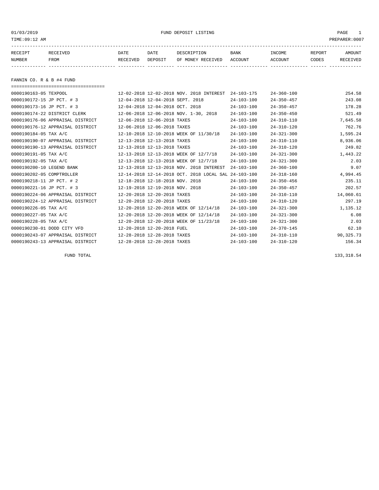01/03/2019 FUND DEPOSIT LISTING PAGE 1

| RECEIPT | <b>RECEIVED</b> | DATE     | DATE    | DESCRIPTION       | <b>BANK</b> | INCOME  | <b>REPORT</b> | AMOUNT          |
|---------|-----------------|----------|---------|-------------------|-------------|---------|---------------|-----------------|
| NUMBER  | FROM            | RECEIVED | DEPOSIT | OF MONEY RECEIVED | ACCOUNT     | ACCOUNT | CODES         | <b>RECEIVED</b> |
|         |                 |          |         |                   |             |         |               |                 |

FANNIN CO. R & B #4 FUND

| ==================================== |                                                      |                  |                  |           |
|--------------------------------------|------------------------------------------------------|------------------|------------------|-----------|
| 0000190163-05 TEXPOOL                | 12-02-2018 12-02-2018 NOV. 2018 INTEREST             | $24 - 103 - 175$ | $24 - 360 - 100$ | 254.58    |
| 0000190172-15 JP PCT. # 3            | 12-04-2018 12-04-2018 SEPT. 2018                     | $24 - 103 - 100$ | $24 - 350 - 457$ | 243.08    |
| 0000190173-16 JP PCT. # 3            | 12-04-2018 12-04-2018 OCT. 2018                      | $24 - 103 - 100$ | $24 - 350 - 457$ | 178.28    |
| 0000190174-22 DISTRICT CLERK         | 12-06-2018 12-06-2018 NOV. 1-30, 2018                | $24 - 103 - 100$ | $24 - 350 - 450$ | 521.49    |
| 0000190176-06 APPRAISAL DISTRICT     | 12-06-2018 12-06-2018 TAXES                          | $24 - 103 - 100$ | $24 - 310 - 110$ | 7,645.58  |
| 0000190176-12 APPRAISAL DISTRICT     | 12-06-2018 12-06-2018 TAXES                          | $24 - 103 - 100$ | $24 - 310 - 120$ | 762.76    |
| 0000190184-05 TAX A/C                | 12-10-2018 12-10-2018 WEEK OF 11/30/18               | $24 - 103 - 100$ | $24 - 321 - 300$ | 1,595.24  |
| 0000190190-07 APPRAISAL DISTRICT     | 12-13-2018 12-13-2018 TAXES                          | $24 - 103 - 100$ | $24 - 310 - 110$ | 8,936.06  |
| 0000190190-13 APPRAISAL DISTRICT     | 12-13-2018 12-13-2018 TAXES                          | $24 - 103 - 100$ | $24 - 310 - 120$ | 249.82    |
| 0000190191-05 TAX A/C                | 12-13-2018 12-13-2018 WEEK OF 12/7/18                | $24 - 103 - 100$ | $24 - 321 - 300$ | 1,443.22  |
| 0000190192-05 TAX A/C                | 12-13-2018 12-13-2018 WEEK OF 12/7/18                | $24 - 103 - 100$ | $24 - 321 - 300$ | 2.03      |
| 0000190200-10 LEGEND BANK            | 12-13-2018 12-13-2018 NOV. 2018 INTEREST             | $24 - 103 - 100$ | $24 - 360 - 100$ | 9.07      |
| 0000190202-05 COMPTROLLER            | 12-14-2018 12-14-2018 OCT. 2018 LOCAL SAL 24-103-100 |                  | $24 - 318 - 160$ | 4,994.45  |
| 0000190218-11 JP PCT. # 2            | 12-18-2018 12-18-2018 NOV. 2018                      | $24 - 103 - 100$ | $24 - 350 - 456$ | 235.11    |
| 0000190221-16 JP PCT. # 3            | 12-19-2018 12-19-2018 NOV. 2018                      | $24 - 103 - 100$ | $24 - 350 - 457$ | 202.57    |
| 0000190224-06 APPRAISAL DISTRICT     | 12-20-2018 12-20-2018 TAXES                          | $24 - 103 - 100$ | $24 - 310 - 110$ | 14,060.61 |
| 0000190224-12 APPRAISAL DISTRICT     | 12-20-2018 12-20-2018 TAXES                          | $24 - 103 - 100$ | $24 - 310 - 120$ | 297.19    |
| 0000190226-05 TAX A/C                | 12-20-2018 12-20-2018 WEEK OF 12/14/18               | $24 - 103 - 100$ | $24 - 321 - 300$ | 1,135.12  |
| 0000190227-05 TAX A/C                | 12-20-2018 12-20-2018 WEEK OF 12/14/18               | $24 - 103 - 100$ | $24 - 321 - 300$ | 6.08      |
| 0000190228-05 TAX A/C                | 12-20-2018 12-20-2018 WEEK OF 11/23/18               | $24 - 103 - 100$ | $24 - 321 - 300$ | 2.03      |
| 0000190230-01 DODD CITY VFD          | 12-20-2018 12-20-2018 FUEL                           | $24 - 103 - 100$ | $24 - 370 - 145$ | 62.10     |
| 0000190243-07 APPRAISAL DISTRICT     | 12-28-2018 12-28-2018 TAXES                          | $24 - 103 - 100$ | $24 - 310 - 110$ | 90,325.73 |
| 0000190243-13 APPRAISAL DISTRICT     | 12-28-2018 12-28-2018 TAXES                          | $24 - 103 - 100$ | $24 - 310 - 120$ | 156.34    |

FUND TOTAL 133,318.54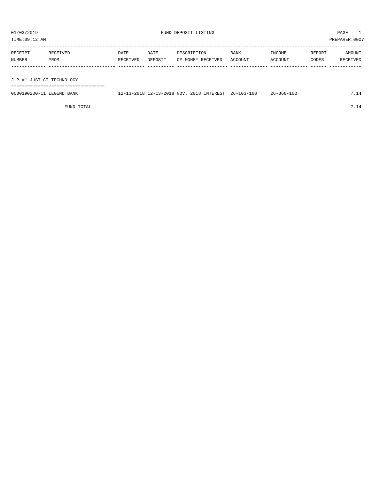| 01/03/2019<br>TIME:09:12 AM                            |                  |                  |                                                     | FUND DEPOSIT LISTING             |                  |                   |                 | PAGE<br>PREPARER: 0007 |
|--------------------------------------------------------|------------------|------------------|-----------------------------------------------------|----------------------------------|------------------|-------------------|-----------------|------------------------|
| RECEIPT<br><b>NUMBER</b>                               | RECEIVED<br>FROM | DATE<br>RECEIVED | DATE<br>DEPOSIT                                     | DESCRIPTION<br>OF MONEY RECEIVED | BANK<br>ACCOUNT  | INCOME<br>ACCOUNT | REPORT<br>CODES | AMOUNT<br>RECEIVED     |
| J.P.#1 JUST.CT.TECHNOLOGY<br>0000190200-11 LEGEND BANK |                  |                  | 12-13-2018 12-13-2018 NOV. 2018 INTEREST 26-103-100 |                                  | $26 - 360 - 100$ |                   | 7.14            |                        |

FUND TOTAL  $7.14$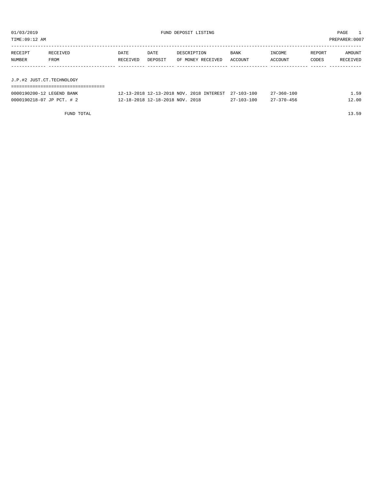| TIME:09:12 AM<br>PREPARER: 0007 |                  |                         |                 |                                  |                 |                   |                 |                    |  |  |  |  |
|---------------------------------|------------------|-------------------------|-----------------|----------------------------------|-----------------|-------------------|-----------------|--------------------|--|--|--|--|
| RECEIPT<br>NUMBER               | RECEIVED<br>FROM | <b>DATE</b><br>RECEIVED | DATE<br>DEPOSIT | DESCRIPTION<br>OF MONEY RECEIVED | BANK<br>ACCOUNT | INCOME<br>ACCOUNT | REPORT<br>CODES | AMOUNT<br>RECEIVED |  |  |  |  |
|                                 |                  |                         |                 |                                  |                 |                   |                 |                    |  |  |  |  |
| J.P.#2 JUST.CT.TECHNOLOGY       |                  |                         |                 |                                  |                 |                   |                 |                    |  |  |  |  |
|                                 |                  |                         |                 |                                  |                 |                   |                 |                    |  |  |  |  |

|  |  |  | U.F.#4 UUSI.CI.IBCHNOUUGI |  |
|--|--|--|---------------------------|--|
|  |  |  |                           |  |

| 0000190200-12 LEGEND BANK | 12-13-2018 12-13-2018 NOV, 2018 INTEREST 27-103-100 |                  | $27 - 360 - 100$ | 59    |
|---------------------------|-----------------------------------------------------|------------------|------------------|-------|
| 0000190218-07 JP PCT. # 2 | 12-18-2018 12-18-2018 NOV. 2018                     | $27 - 103 - 100$ | $27 - 370 - 456$ | 12.00 |

FUND TOTAL 13.59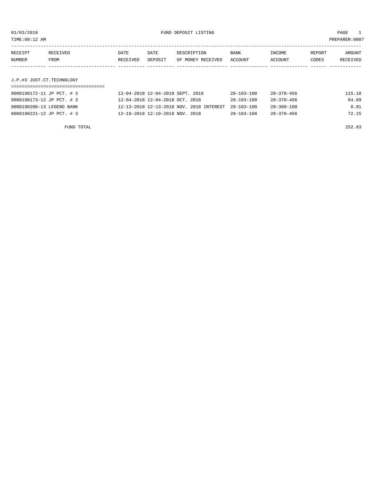TIME:09:12 AM PREPARER:0007

| RECEIPT | RECEIVED | DATE     | DATE    | DESCRIPTION       | <b>BANK</b> | INCOME  | REPORT | AMOUNT   |
|---------|----------|----------|---------|-------------------|-------------|---------|--------|----------|
| NUMBER  | FROM     | RECEIVED | DEPOSIT | OF MONEY RECEIVED | ACCOUNT     | ACCOUNT | CODES  | RECEIVED |
|         |          |          |         |                   |             |         |        |          |
|         |          |          |         |                   |             |         |        |          |

## J.P.#3 JUST.CT.TECHNOLOGY

| 0000190172-11 JP PCT. # 3 | 12-04-2018 12-04-2018 SEPT. 2018                    | 28-103-100       | 28-370-456       | 115.18 |
|---------------------------|-----------------------------------------------------|------------------|------------------|--------|
| 0000190173-12 JP PCT. # 3 | 12-04-2018 12-04-2018 OCT. 2018                     | $28 - 103 - 100$ | $28 - 370 - 456$ | 64.69  |
| 0000190200-13 LEGEND BANK | 12-13-2018 12-13-2018 NOV. 2018 INTEREST 28-103-100 |                  | $28 - 360 - 100$ | 0.81   |
| 0000190221-12 JP PCT. # 3 | 12-19-2018 12-19-2018 NOV. 2018                     | $28 - 103 - 100$ | $28 - 370 - 456$ | 72.15  |

FUND TOTAL 252.83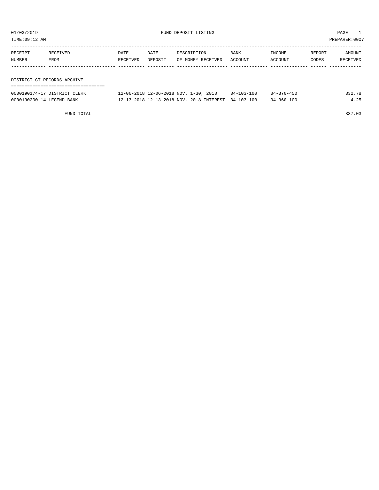TIME:09:12 AM PREPARER:0007

| RECEIPT | RECEIVED                    | DATE     | DATE    | DESCRIPTION       | BANK    | INCOME  | REPORT | AMOUNT   |
|---------|-----------------------------|----------|---------|-------------------|---------|---------|--------|----------|
| NUMBER  | FROM                        | RECEIVED | DEPOSIT | OF MONEY RECEIVED | ACCOUNT | ACCOUNT | CODES  | RECEIVED |
|         |                             |          |         |                   |         |         |        |          |
|         |                             |          |         |                   |         |         |        |          |
|         | DISTRICT CT.RECORDS ARCHIVE |          |         |                   |         |         |        |          |
|         |                             |          |         |                   |         |         |        |          |

| 0000190174-17 DISTRICT CLERK | 12-06-2018 12-06-2018 NOV. 1-30, 2018               | $34 - 103 - 100$ | $34 - 370 - 450$ | 332.78 |
|------------------------------|-----------------------------------------------------|------------------|------------------|--------|
| 0000190200-14 LEGEND BANK    | 12-13-2018 12-13-2018 NOV. 2018 INTEREST 34-103-100 |                  | $34 - 360 - 100$ | 4.25   |

FUND TOTAL 337.03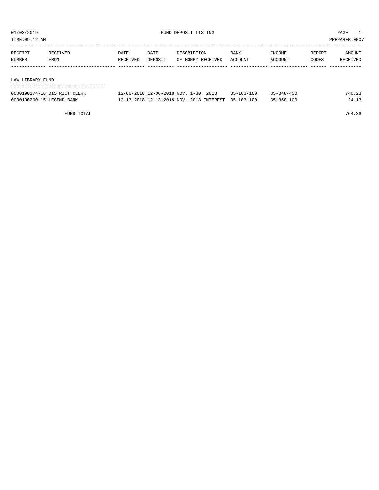TIME:09:12 AM PREPARER:0007

| RECEIPT          | RECEIVED | <b>DATE</b> | DATE    | DESCRIPTION       | <b>BANK</b> | INCOME  | REPORT | AMOUNT   |
|------------------|----------|-------------|---------|-------------------|-------------|---------|--------|----------|
| NUMBER           | FROM     | RECEIVED    | DEPOSIT | OF MONEY RECEIVED | ACCOUNT     | ACCOUNT | CODES  | RECEIVED |
|                  |          |             |         |                   |             |         |        |          |
|                  |          |             |         |                   |             |         |        |          |
| LAW LIRRARY FIND |          |             |         |                   |             |         |        |          |

LAW LIBRARY FUND

| --------------------------------------<br>------------------------------------- |  |  |  |  |  |  |  |  |  |  |  |  |  |  |  |  |  |
|---------------------------------------------------------------------------------|--|--|--|--|--|--|--|--|--|--|--|--|--|--|--|--|--|
|                                                                                 |  |  |  |  |  |  |  |  |  |  |  |  |  |  |  |  |  |

| 0000190174-18 DISTRICT CLERK | 12-06-2018 12-06-2018 NOV. 1-30, 2018               | $35 - 103 - 100$ | $35 - 340 - 450$ | 740.23 |
|------------------------------|-----------------------------------------------------|------------------|------------------|--------|
| 0000190200-15 LEGEND BANK    | 12-13-2018 12-13-2018 NOV. 2018 INTEREST 35-103-100 |                  | $35 - 360 - 100$ | 24.13  |

FUND TOTAL 764.36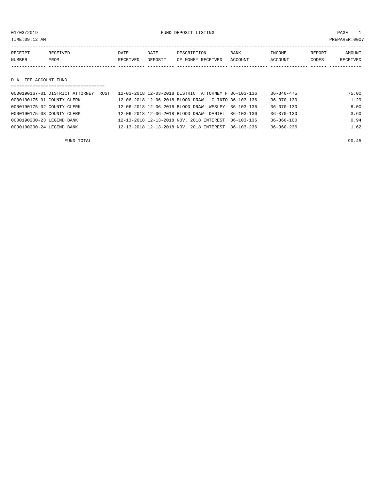01/03/2019 FUND DEPOSIT LISTING PAGE 1

| RECEIPT | <b>RECEIVED</b> | DATE            | DATE    | DESCRIPTION       | <b>BANK</b> | <b>TNCOME</b>  | REPORT | AMOUNT          |
|---------|-----------------|-----------------|---------|-------------------|-------------|----------------|--------|-----------------|
| NUMBER  | FROM            | <b>RECEIVED</b> | DEPOSIT | OF MONEY RECEIVED | ACCOUNT     | <b>ACCOUNT</b> | CODES  | <b>RECEIVED</b> |
|         |                 |                 |         |                   |             |                |        |                 |

D.A. FEE ACCOUNT FUND

| ______________________________________ |                                                      |                  |       |
|----------------------------------------|------------------------------------------------------|------------------|-------|
| 0000190167-01 DISTRICT ATTORNEY TRUST  | 12-03-2018 12-03-2018 DISTRICT ATTORNEY F 36-103-136 | $36 - 340 - 475$ | 75.00 |
| 0000190175-01 COUNTY CLERK             | 12-06-2018 12-06-2018 BLOOD DRAW - CLINTO 36-103-136 | 36-370-130       | 1.29  |
| 0000190175-02 COUNTY CLERK             | 12-06-2018 12-06-2018 BLOOD DRAW- WESLEY 36-103-136  | $36 - 370 - 130$ | 8.00  |
| 0000190175-03 COUNTY CLERK             | 12-06-2018 12-06-2018 BLOOD DRAW- DANIEL 36-103-136  | $36 - 370 - 130$ | 3.60  |
| 0000190200-23 LEGEND BANK              | 12-13-2018 12-13-2018 NOV. 2018 INTEREST 36-103-136  | $36 - 360 - 100$ | 0.94  |
| 0000190200-24 LEGEND BANK              | 12-13-2018 12-13-2018 NOV. 2018 INTEREST 36-103-236  | $36 - 360 - 236$ | 1.62  |
|                                        |                                                      |                  |       |

FUND TOTAL 90.45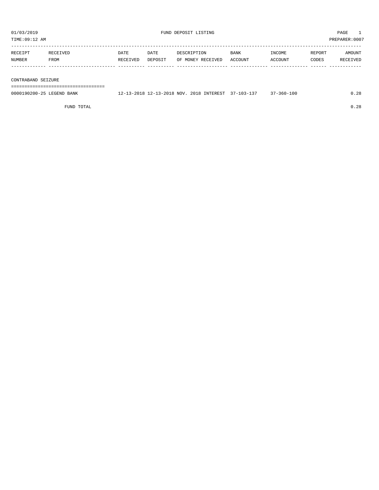| TIME:09:12 AM      |          |          |         |                   |             |         | PREPARER:0007 |          |  |
|--------------------|----------|----------|---------|-------------------|-------------|---------|---------------|----------|--|
|                    |          |          |         |                   |             |         |               |          |  |
| RECEIPT            | RECEIVED | DATE     | DATE    | DESCRIPTION       | <b>BANK</b> | INCOME  | REPORT        | AMOUNT   |  |
| NUMBER             | FROM     | RECEIVED | DEPOSIT | OF MONEY RECEIVED | ACCOUNT     | ACCOUNT | CODES         | RECEIVED |  |
|                    |          |          |         |                   |             |         |               |          |  |
|                    |          |          |         |                   |             |         |               |          |  |
| CONTRABAND SEIZURE |          |          |         |                   |             |         |               |          |  |
|                    |          |          |         |                   |             |         |               |          |  |

0000190200-25 LEGEND BANK 12-13-2018 12-13-2018 NOV. 2018 INTEREST 37-103-137 37-360-100 0.28

FUND TOTAL 0.28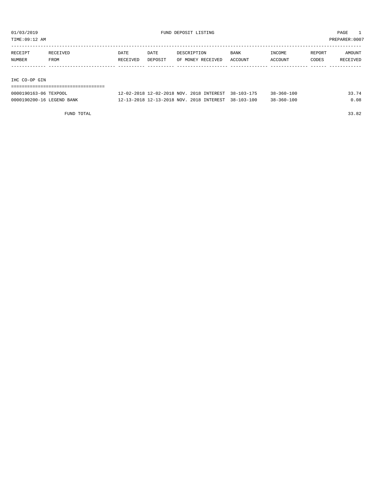TIME:09:12 AM PREPARER:0007

| RECEIPT       | RECEIVED | <b>DATE</b> | <b>DATE</b> | DESCRIPTION       | BANK    | INCOME  | REPORT | AMOUNT   |
|---------------|----------|-------------|-------------|-------------------|---------|---------|--------|----------|
| NUMBER        | FROM     | RECEIVED    | DEPOSIT     | OF MONEY RECEIVED | ACCOUNT | ACCOUNT | CODES  | RECEIVED |
|               |          |             |             |                   |         |         |        |          |
|               |          |             |             |                   |         |         |        |          |
| THA GU-UD GIN |          |             |             |                   |         |         |        |          |

IHC CO-OP GIN

### ===================================

| 0000190163-06 TEXPOOL     | 12-02-2018 12-02-2018 NOV. 2018 INTEREST            | 38-103-175 | $38 - 360 - 100$ | 33.74 |
|---------------------------|-----------------------------------------------------|------------|------------------|-------|
| 0000190200-16 LEGEND BANK | 12-13-2018 12-13-2018 NOV. 2018 INTEREST 38-103-100 |            | $38 - 360 - 100$ | .08   |

FUND TOTAL 33.82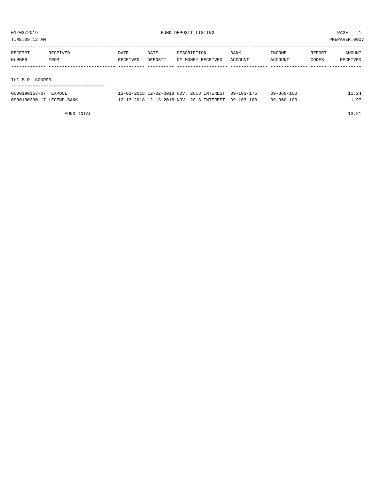TIME:09:12 AM PREPARER:0007

| RECEIPT         | RECEIVED | <b>DATE</b> | DATE    | DESCRIPTION       | <b>BANK</b> | INCOME  | REPORT | AMOUNT   |  |
|-----------------|----------|-------------|---------|-------------------|-------------|---------|--------|----------|--|
| NUMBER          | FROM     | RECEIVED    | DEPOSIT | OF MONEY RECEIVED | ACCOUNT     | ACCOUNT | CODES  | RECEIVED |  |
|                 |          |             |         |                   |             |         |        |          |  |
|                 |          |             |         |                   |             |         |        |          |  |
| IHC B.R. COOPER |          |             |         |                   |             |         |        |          |  |
|                 |          |             |         |                   |             |         |        |          |  |

| 0000190163-07 TEXPOOL     | 12-02-2018 12-02-2018 NOV. 2018 INTEREST 39-103-175 | $39 - 360 - 100$ | 11.24 |
|---------------------------|-----------------------------------------------------|------------------|-------|
| 0000190200-17 LEGEND BANK | 12-13-2018 12-13-2018 NOV. 2018 INTEREST 39-103-100 | $39 - 360 - 100$ | - 97  |

FUND TOTAL 13.21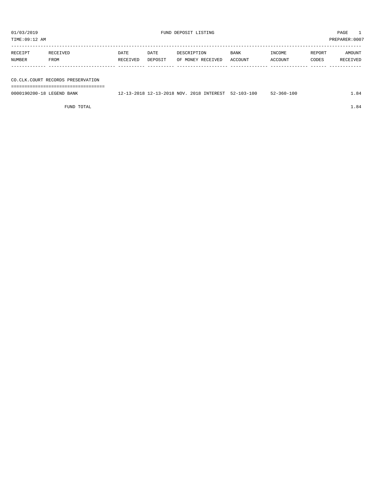TIME:09:12 AM PREPARER:0007

| RECEIPT | RECEIVED | DATE     | DATE    | DESCRIPTION       | BANK    | INCOME  | REPORT | AMOUNT   |
|---------|----------|----------|---------|-------------------|---------|---------|--------|----------|
| NUMBER  | FROM     | RECEIVED | DEPOSIT | OF MONEY RECEIVED | ACCOUNT | ACCOUNT | CODES  | RECEIVED |
|         |          |          |         |                   |         |         |        |          |
|         |          |          |         |                   |         |         |        |          |

CO.CLK.COURT RECORDS PRESERVATION ===================================

0000190200-18 LEGEND BANK 12-13-2018 12-13-2018 NOV. 2018 INTEREST 52-103-100 52-360-100 1.84

FUND TOTAL  $1.84$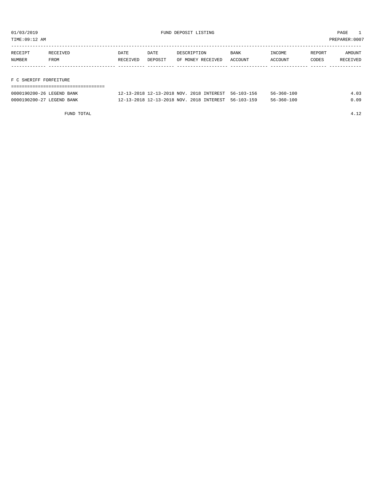TIME:09:12 AM PREPARER:0007

| RECEIPT | RECEIVED | DATE     | DATE    | DESCRIPTION       | <b>BANK</b> | INCOME  | REPORT | AMOUNT   |
|---------|----------|----------|---------|-------------------|-------------|---------|--------|----------|
| NUMBER  | FROM     | RECEIVED | DEPOSIT | OF MONEY RECEIVED | ACCOUNT     | ACCOUNT | CODES  | RECEIVED |
|         |          |          |         |                   |             |         |        |          |
|         |          |          |         |                   |             |         |        |          |

### F C SHERIFF FORFEITURE

| --------------------------------- |                                                     |  |                  |      |
|-----------------------------------|-----------------------------------------------------|--|------------------|------|
| 0000190200-26 LEGEND BANK         | 12-13-2018 12-13-2018 NOV. 2018 INTEREST 56-103-156 |  | $56 - 360 - 100$ | 4.03 |
| 0000190200-27 LEGEND BANK         | 12-13-2018 12-13-2018 NOV. 2018 INTEREST 56-103-159 |  | $56 - 360 - 100$ | 0.09 |

FUND TOTAL 4.12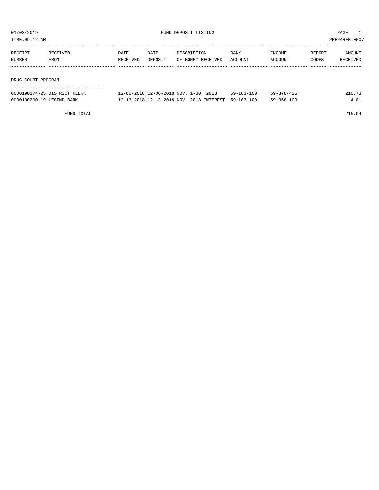TIME:09:12 AM PREPARER:0007

| RECEIPT            | RECEIVED | DATE     | DATE    | DESCRIPTION       | <b>BANK</b> | INCOME  | REPORT | AMOUNT   |  |
|--------------------|----------|----------|---------|-------------------|-------------|---------|--------|----------|--|
| NUMBER             | FROM     | RECEIVED | DEPOSIT | OF MONEY RECEIVED | ACCOUNT     | ACCOUNT | CODES  | RECEIVED |  |
|                    |          |          |         |                   |             |         |        |          |  |
|                    |          |          |         |                   |             |         |        |          |  |
| DRUG COURT PROGRAM |          |          |         |                   |             |         |        |          |  |
|                    |          |          |         |                   |             |         |        |          |  |

| 0000190174-25 DISTRICT CLERK | $1 - 30$ .<br>2018<br>12-06-2018 12-06-2018 NOV. 1 | $59 - 103 - 100$ | $59 - 370 - 425$ |  |
|------------------------------|----------------------------------------------------|------------------|------------------|--|
| 0000190200-19 LEGEND BANK    | 12-13-2018 12-13-2018 NOV. 2018 INTEREST           | 59-103-100       | $59 - 360 - 100$ |  |

FUND TOTAL 215.54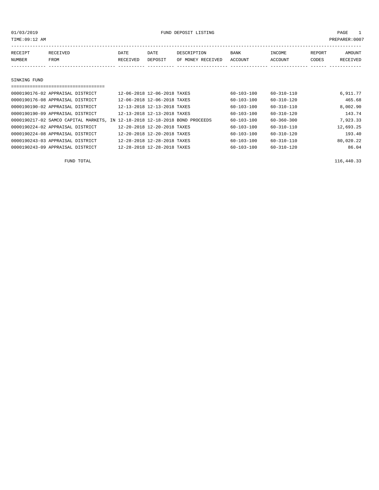| TIME:09:12 AM<br>PREPARER: 0007 |                                  |                  |                             |                                  |                  |                   |                 |                    |  |  |  |
|---------------------------------|----------------------------------|------------------|-----------------------------|----------------------------------|------------------|-------------------|-----------------|--------------------|--|--|--|
| RECEIPT<br>NUMBER               | RECEIVED<br><b>FROM</b>          | DATE<br>RECEIVED | DATE<br>DEPOSIT             | DESCRIPTION<br>OF MONEY RECEIVED | BANK<br>ACCOUNT  | INCOME<br>ACCOUNT | REPORT<br>CODES | AMOUNT<br>RECEIVED |  |  |  |
| SINKING FUND                    |                                  |                  |                             |                                  |                  |                   |                 |                    |  |  |  |
|                                 |                                  |                  |                             |                                  |                  |                   |                 |                    |  |  |  |
|                                 | 0000190176-02 APPRAISAL DISTRICT |                  | 12-06-2018 12-06-2018 TAXES |                                  | $60 - 103 - 100$ | $60 - 310 - 110$  |                 | 6,911.77           |  |  |  |
|                                 | 0000190176-08 APPRAISAL DISTRICT |                  | 12-06-2018 12-06-2018 TAXES |                                  | $60 - 103 - 100$ | $60 - 310 - 120$  |                 | 465.68             |  |  |  |
|                                 | 0000190190-02 APPRAISAL DISTRICT |                  | 12-13-2018 12-13-2018 TAXES |                                  | $60 - 103 - 100$ | $60 - 310 - 110$  |                 | 8,002.90           |  |  |  |

| 0000190190-09 APPRAISAL DISTRICT | 12-13-2018 12-13-2018 TAXES                                                 | 60-103-100       | 60-310-120       | 143.74    |
|----------------------------------|-----------------------------------------------------------------------------|------------------|------------------|-----------|
|                                  | 0000190217-02 SAMCO CAPITAL MARKETS, IN 12-18-2018 12-18-2018 BOND PROCEEDS | 60-103-100       | $60 - 360 - 300$ | 7,923.33  |
| 0000190224-02 APPRAISAL DISTRICT | 12-20-2018 12-20-2018 TAXES                                                 | $60 - 103 - 100$ | 60-310-110       | 12,693.25 |
| 0000190224-08 APPRAISAL DISTRICT | 12-20-2018 12-20-2018 TAXES                                                 | $60 - 103 - 100$ | 60-310-120       | 193.40    |
| 0000190243-03 APPRAISAL DISTRICT | 12-28-2018 12-28-2018 TAXES                                                 | 60-103-100       | 60-310-110       | 80,020.22 |
| 0000190243-09 APPRAISAL DISTRICT | 12-28-2018 12-28-2018 TAXES                                                 | $60 - 103 - 100$ | $60 - 310 - 120$ | 86.04     |

FUND TOTAL 116,440.33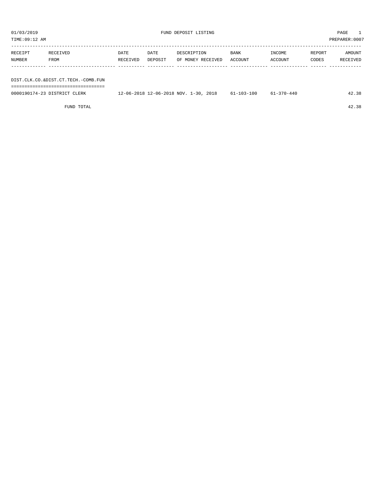| PREPARER:0007<br>TIME:09:12 AM |                                     |          |         |                   |         |         |        |          |  |  |  |
|--------------------------------|-------------------------------------|----------|---------|-------------------|---------|---------|--------|----------|--|--|--|
| RECEIPT                        | RECEIVED                            | DATE     | DATE    | DESCRIPTION       | BANK    | INCOME  | REPORT | AMOUNT   |  |  |  |
|                                |                                     |          |         |                   |         |         |        |          |  |  |  |
| NUMBER                         | FROM                                | RECEIVED | DEPOSIT | OF MONEY RECEIVED | ACCOUNT | ACCOUNT | CODES  | RECEIVED |  |  |  |
|                                |                                     |          |         |                   |         |         |        |          |  |  |  |
|                                |                                     |          |         |                   |         |         |        |          |  |  |  |
|                                | DIST.CLK.CO.&DIST.CT.TECH.-COMB.FUN |          |         |                   |         |         |        |          |  |  |  |
|                                |                                     |          |         |                   |         |         |        |          |  |  |  |

| 0000190174-23 DISTRICT<br>CLERK | 2018<br>12-06-2018 12-06-2018 NOV.<br>1 – 30<br>20 T.U | $61 - 103 - 100$ | $-370 - 440$ | 42.38 |
|---------------------------------|--------------------------------------------------------|------------------|--------------|-------|
|                                 |                                                        |                  |              |       |

FUND TOTAL 42.38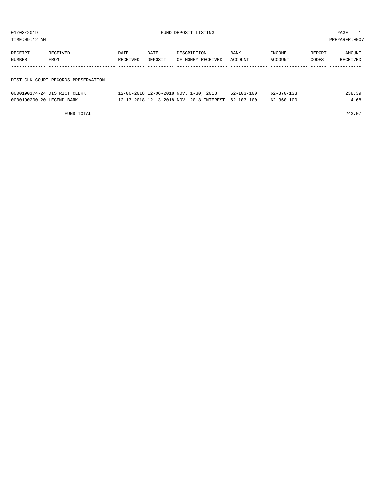| 01/03/2019<br>TIME:09:12 AM |                                     |                  |                 | FUND DEPOSIT LISTING                                                              |                                      |                                      |                 | PAGE<br>PREPARER: 0007 |
|-----------------------------|-------------------------------------|------------------|-----------------|-----------------------------------------------------------------------------------|--------------------------------------|--------------------------------------|-----------------|------------------------|
| RECEIPT<br>NUMBER           | RECEIVED<br>FROM                    | DATE<br>RECEIVED | DATE<br>DEPOSIT | DESCRIPTION<br>OF MONEY RECEIVED                                                  | BANK<br>ACCOUNT                      | INCOME<br>ACCOUNT                    | REPORT<br>CODES | AMOUNT<br>RECEIVED     |
|                             | DIST.CLK.COURT RECORDS PRESERVATION |                  |                 |                                                                                   |                                      |                                      |                 |                        |
| 0000190200-20 LEGEND BANK   | 0000190174-24 DISTRICT CLERK        |                  |                 | 12-06-2018 12-06-2018 NOV. 1-30, 2018<br>12-13-2018 12-13-2018 NOV. 2018 INTEREST | $62 - 103 - 100$<br>$62 - 103 - 100$ | $62 - 370 - 133$<br>$62 - 360 - 100$ |                 | 238.39<br>4.68         |

FUND TOTAL 243.07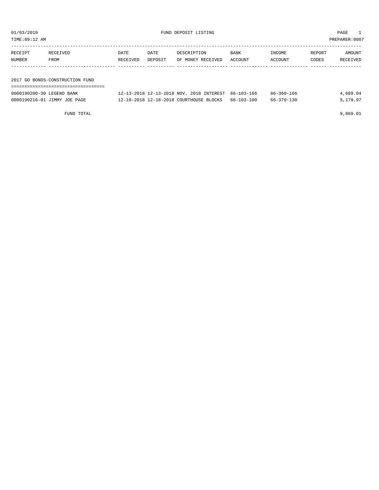| 01/03/2019<br>TIME:09:12 AM |                                 |          |         | FUND DEPOSIT LISTING                     |                  | PAGE<br>PREPARER: 0007 |        |          |
|-----------------------------|---------------------------------|----------|---------|------------------------------------------|------------------|------------------------|--------|----------|
| RECEIPT                     | RECEIVED                        | DATE     | DATE    | DESCRIPTION                              | BANK             | <b>TNCOME</b>          | REPORT | AMOUNT   |
| NUMBER                      | FROM                            | RECEIVED | DEPOSIT | OF MONEY RECEIVED                        | ACCOUNT          | ACCOUNT                | CODES  | RECEIVED |
|                             |                                 |          |         |                                          |                  |                        |        |          |
|                             | 2017 GO BONDS-CONSTRUCTION FUND |          |         |                                          |                  |                        |        |          |
|                             |                                 |          |         |                                          |                  |                        |        |          |
| 0000190200-30 LEGEND BANK   |                                 |          |         | 12-13-2018 12-13-2018 NOV. 2018 INTEREST | 66-103-166       | $66 - 360 - 166$       |        | 4,689.04 |
|                             | 0000190216-01 JIMMY JOE PAGE    |          |         | 12-18-2018 12-18-2018 COURTHOUSE BLOCKS  | $66 - 103 - 100$ | $66 - 370 - 130$       |        | 5,179.97 |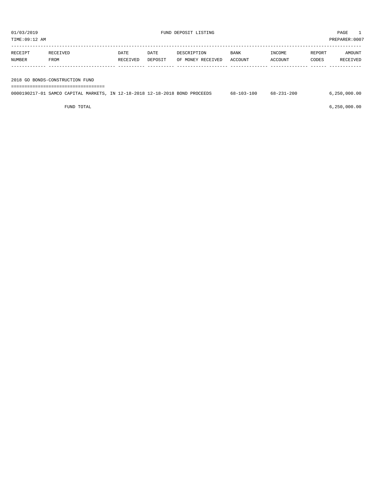| PREPARER:0007<br>TIME:09:12 AM |                                 |                  |                 |                                  |                        |                   |                 |                    |
|--------------------------------|---------------------------------|------------------|-----------------|----------------------------------|------------------------|-------------------|-----------------|--------------------|
| RECEIPT<br>NUMBER              | RECEIVED<br>FROM                | DATE<br>RECEIVED | DATE<br>DEPOSIT | DESCRIPTION<br>OF MONEY RECEIVED | <b>BANK</b><br>ACCOUNT | INCOME<br>ACCOUNT | REPORT<br>CODES | AMOUNT<br>RECEIVED |
|                                |                                 |                  |                 |                                  |                        |                   |                 |                    |
|                                | 2018 GO BONDS-CONSTRUCTION FUND |                  |                 |                                  |                        |                   |                 |                    |

===================================

|  |  | 0000190217-01 SAMCO CAPITAL MARKETS, IN 12-18-2018 12-18-2018 BOND PROCEEDS |  | 68-103-100 | 68-231-200 | 6.250.000.00 |
|--|--|-----------------------------------------------------------------------------|--|------------|------------|--------------|
|  |  |                                                                             |  |            |            |              |

FUND TOTAL 6,250,000.00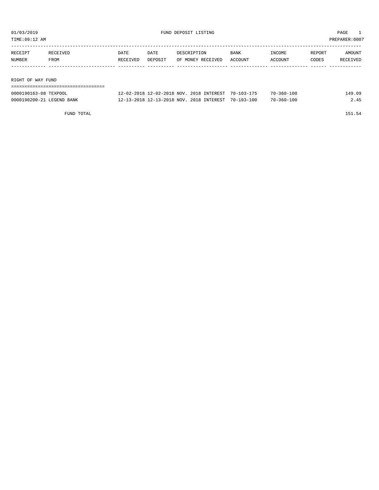TIME:09:12 AM PREPARER:0007

| RECEIPT | RECEIVED          | DATE     | DATE    | DESCRIPTION       | <b>BANK</b> | INCOME  | REPORT | AMOUNT   |  |
|---------|-------------------|----------|---------|-------------------|-------------|---------|--------|----------|--|
| NUMBER  | FROM              | RECEIVED | DEPOSIT | OF MONEY RECEIVED | ACCOUNT     | ACCOUNT | CODES  | RECEIVED |  |
|         |                   |          |         |                   |             |         |        |          |  |
|         |                   |          |         |                   |             |         |        |          |  |
|         | RIGHT OF WAY FUND |          |         |                   |             |         |        |          |  |
|         |                   |          |         |                   |             |         |        |          |  |

| 0000190163-08 TEXPOOL     | 12-02-2018 12-02-2018 NOV. 2018 INTEREST 70-103-175 |  | $70 - 360 - 100$ | L49.O9 |
|---------------------------|-----------------------------------------------------|--|------------------|--------|
| 0000190200-21 LEGEND BANK | 12-13-2018 12-13-2018 NOV. 2018 INTEREST 70-103-100 |  | 70-360-100       |        |

FUND TOTAL 151.54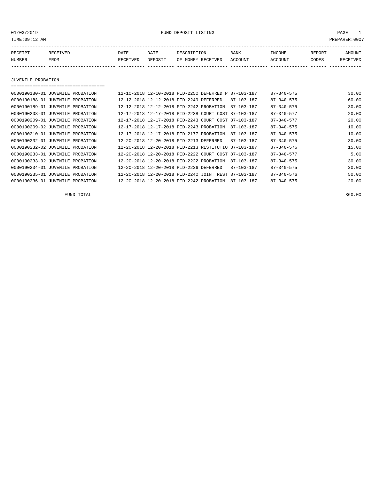01/03/2019 FUND DEPOSIT LISTING PAGE 1

| RECEIPT | <b>RECEIVED</b> | DATE            | DATE    | DESCRIPTION       | <b>BANK</b> | INCOME  | REPORT | AMOUNT          |
|---------|-----------------|-----------------|---------|-------------------|-------------|---------|--------|-----------------|
| NUMBER  | FROM            | <b>RECEIVED</b> | DEPOSIT | OF MONEY RECEIVED | ACCOUNT     | ACCOUNT | CODES  | <b>RECEIVED</b> |
|         |                 |                 |         |                   |             |         |        |                 |

JUVENILE PROBATION

===================================

| 0000190180-01 JUVENILE PROBATION | 12-10-2018 12-10-2018 PID-2250 DEFERRED P 87-103-187 |                  | $87 - 340 - 575$ | 30.00 |
|----------------------------------|------------------------------------------------------|------------------|------------------|-------|
| 0000190188-01 JUVENILE PROBATION | 12-12-2018 12-12-2018 PID-2249 DEFERRED              | 87-103-187       | $87 - 340 - 575$ | 60.00 |
| 0000190189-01 JUVENILE PROBATION | 12-12-2018 12-12-2018 PID-2242 PROBATION             | 87-103-187       | $87 - 340 - 575$ | 30.00 |
| 0000190208-01 JUVENILE PROBATION | 12-17-2018 12-17-2018 PID-2238 COURT COST 87-103-187 |                  | $87 - 340 - 577$ | 20.00 |
| 0000190209-01 JUVENILE PROBATION | 12-17-2018 12-17-2018 PID-2243 COURT COST 87-103-187 |                  | $87 - 340 - 577$ | 20.00 |
| 0000190209-02 JUVENILE PROBATION | 12-17-2018 12-17-2018 PID-2243 PROBATION             | 87-103-187       | $87 - 340 - 575$ | 10.00 |
| 0000190210-01 JUVENILE PROBATION | 12-17-2018 12-17-2018 PID-2177 PROBATION             | $87 - 103 - 187$ | $87 - 340 - 575$ | 10.00 |
| 0000190232-01 JUVENILE PROBATION | 12-20-2018 12-20-2018 PID-2213 DEFERRED              | 87-103-187       | $87 - 340 - 575$ | 30.00 |
| 0000190232-02 JUVENILE PROBATION | 12-20-2018 12-20-2018 PID-2213 RESTITUTIO 87-103-187 |                  | 87-340-576       | 15.00 |
| 0000190233-01 JUVENILE PROBATION | 12-20-2018 12-20-2018 PID-2222 COURT COST 87-103-187 |                  | $87 - 340 - 577$ | 5.00  |
| 0000190233-02 JUVENILE PROBATION | 12-20-2018 12-20-2018 PID-2222 PROBATION             | 87-103-187       | $87 - 340 - 575$ | 30.00 |
| 0000190234-01 JUVENILE PROBATION | 12-20-2018 12-20-2018 PID-2236 DEFERRED              | 87-103-187       | $87 - 340 - 575$ | 30.00 |
| 0000190235-01 JUVENILE PROBATION | 12-20-2018 12-20-2018 PID-2240 JOINT REST 87-103-187 |                  | $87 - 340 - 576$ | 50.00 |
| 0000190236-01 JUVENILE PROBATION | 12-20-2018 12-20-2018 PID-2242 PROBATION             | $87 - 103 - 187$ | $87 - 340 - 575$ | 20.00 |

FUND TOTAL 360.00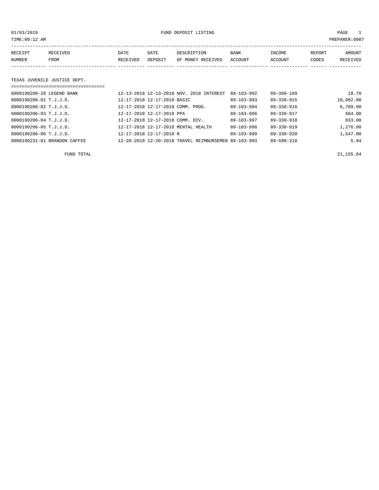01/03/2019 FUND DEPOSIT LISTING PAGE 1

| RECEIPT | <b>RECEIVED</b> | DATE            | DATE    | DESCRIPTION       | <b>BANK</b> | INCOME  | <b>REPORT</b> | AMOUNT          |
|---------|-----------------|-----------------|---------|-------------------|-------------|---------|---------------|-----------------|
| NUMBER  | FROM            | <b>RECEIVED</b> | DEPOSIT | OF MONEY RECEIVED | ACCOUNT     | ACCOUNT | CODES         | <b>RECEIVED</b> |
|         |                 |                 |         |                   |             |         |               |                 |

#### TEXAS JUVENILE JUSTICE DEPT.

| ---------------------------------- |                                                      |                  |                  |           |
|------------------------------------|------------------------------------------------------|------------------|------------------|-----------|
| 0000190200-28 LEGEND BANK          | 12-13-2018 12-13-2018 NOV. 2018 INTEREST             | $89 - 103 - 992$ | $89 - 360 - 189$ | 18.70     |
| 0000190206-01 T.J.J.D.             | 12-17-2018 12-17-2018 BASIC                          | $89 - 103 - 993$ | 89-330-915       | 10,082.00 |
| 0000190206-02 T.J.J.D.             | 12-17-2018 12-17-2018 COMM. PROG.                    | $89 - 103 - 994$ | 89-330-916       | 6,709.00  |
| 0000190206-03 T.J.J.D.             | 12-17-2018 12-17-2018 PPA                            | $89 - 103 - 996$ | 89-330-917       | 684.00    |
| 0000190206-04 T.J.J.D.             | 12-17-2018 12-17-2018 COMM. DIV.                     | $89 - 103 - 997$ | $89 - 330 - 918$ | 833.00    |
| $0000190206 - 05$ T.J.J.D.         | 12-17-2018 12-17-2018 MENTAL HEALTH                  | 89-103-998       | $89 - 330 - 919$ | 1,276.00  |
| 0000190206-06 T.J.J.D.             | 12-17-2018 12-17-2018 R                              | $89 - 103 - 999$ | $89 - 330 - 920$ | 1,547.00  |
| 0000190231-01 BRANDON CAFFEE       | 12-20-2018 12-20-2018 TRAVEL REIMBURSEMEN 89-103-993 |                  | 89-590-310       | 5.94      |

FUND TOTAL  $21,155.64$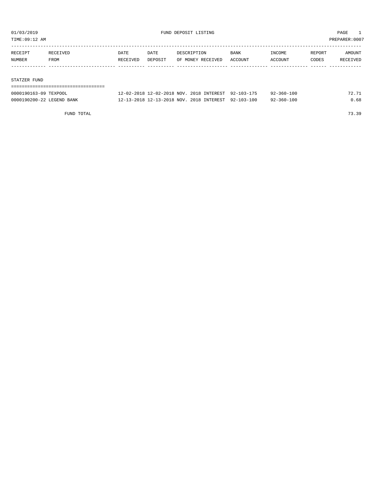TIME:09:12 AM PREPARER:0007

| RECEIPT | RECEIVED | DATE     | DATE    | DESCRIPTION       | <b>BANK</b> | INCOME  | REPORT | AMOUNT   |
|---------|----------|----------|---------|-------------------|-------------|---------|--------|----------|
| NUMBER  | FROM     | RECEIVED | DEPOSIT | OF MONEY RECEIVED | ACCOUNT     | ACCOUNT | CODES  | RECEIVED |
|         |          |          |         |                   |             |         |        |          |
|         |          |          |         |                   |             |         |        |          |

#### STATZER FUND

| 0000190163-09 TEXPOOL     | 12-02-2018 12-02-2018 NOV. 2018 INTEREST 92-103-175 |  | $92 - 360 - 100$ | 72.71 |
|---------------------------|-----------------------------------------------------|--|------------------|-------|
| 0000190200-22 LEGEND BANK | 12-13-2018 12-13-2018 NOV. 2018 INTEREST 92-103-100 |  | $92 - 360 - 100$ | 0.68  |

FUND TOTAL 73.39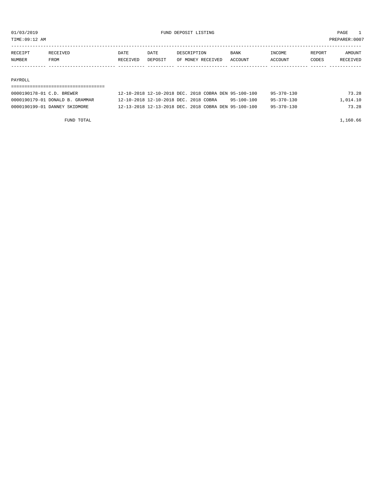TIME:09:12 AM PREPARER:0007

| NUMBER  | <b>FROM</b>     | RECEIVED | DEPOSIT | OF MONEY RECEIVED | ACCOUNT     | ACCOUNT       | CODES  | RECEIVED |
|---------|-----------------|----------|---------|-------------------|-------------|---------------|--------|----------|
| RECEIPT | <b>RECEIVED</b> | DATE     | DATE    | DESCRIPTION       | <b>BANK</b> | <b>TNCOME</b> | REPORT | AMOUNT   |
|         |                 |          |         |                   |             |               |        |          |

#### PAYROLL

### =================================== 0000190178-01 C.D. BREWER 12-10-2018 12-10-2018 DEC. 2018 COBRA DEN 95-100-100 95-370-130 73.28

| OOOOL/O OI C.D. DREWER          |                                       | TA IN ANIM IA IN ANIM DEC. ANIM CODINA DEN JU INV INV |            |                  | 79.49    |
|---------------------------------|---------------------------------------|-------------------------------------------------------|------------|------------------|----------|
| 0000190179-01 DONALD B. GRAMMAR | 12-10-2018 12-10-2018 DEC. 2018 COBRA |                                                       | 95-100-100 | $95 - 370 - 130$ | 1,014.10 |
| 0000190199-01 DANNEY SKIDMORE   |                                       | 12-13-2018 12-13-2018 DEC. 2018 COBRA DEN 95-100-100  |            | 95-370-130       | 73.28    |
|                                 |                                       |                                                       |            |                  |          |

FUND TOTAL 1,160.66